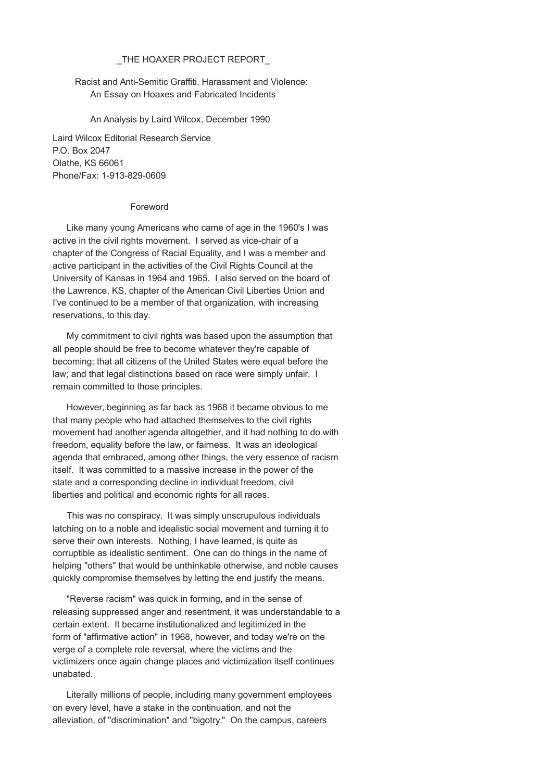#### THE HOAXER PROJECT REPORT

## Racist and Anti-Semitic Graffiti, Harassment and Violence: An Essay on Hoaxes and Fabricated Incidents

An Analysis by Laird Wilcox, December 1990

Laird Wilcox Editorial Research Service P.O. Box 2047 Olathe, KS 66061 Phone/Fax: 1-913-829-0609

#### Foreword

Like many young Americans who came of age in the 1960's I was active in the civil rights movement. I served as vice-chair of a chapter of the Congress of Racial Equality, and I was a member and active participant in the activities of the Civil Rights Council at the University of Kansas in 1964 and 1965. I also served on the board of the Lawrence, KS, chapter of the American Civil Liberties Union and I've continued to be a member of that organization, with increasing reservations, to this day.

My commitment to civil rights was based upon the assumption that all people should be free to become whatever they're capable of becoming; that all citizens of the United States were equal before the law; and that legal distinctions based on race were simply unfair. I remain committed to those principles.

However, beginning as far back as 1968 it became obvious to me that many people who had attached themselves to the civil rights movement had another agenda altogether, and it had nothing to do with freedom, equality before the law, or fairness. It was an ideological agenda that embraced, among other things, the very essence of racism itself. It was committed to a massive increase in the power of the state and a corresponding decline in individual freedom, civil liberties and political and economic rights for all races.

This was no conspiracy. It was simply unscrupulous individuals latching on to a noble and idealistic social movement and turning it to serve their own interests. Nothing, I have learned, is quite as corruptible as idealistic sentiment. One can do things in the name of helping "others" that would be unthinkable otherwise, and noble causes quickly compromise themselves by letting the end justify the means.

"Reverse racism" was quick in forming, and in the sense of releasing suppressed anger and resentment, it was understandable to a certain extent. It became institutionalized and legitimized in the form of "affirmative action" in 1968, however, and today we're on the verge of a complete role reversal, where the victims and the victimizers once again change places and victimization itself continues unabated.

Literally millions of people, including many government employees on every level, have a stake in the continuation, and not the alleviation, of "discrimination" and "bigotry." On the campus, careers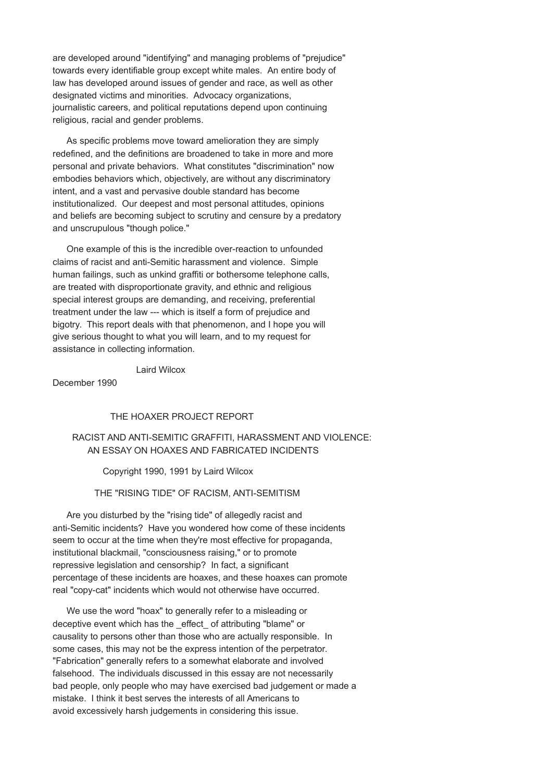are developed around "identifying" and managing problems of "prejudice" towards every identifiable group except white males. An entire body of law has developed around issues of gender and race, as well as other designated victims and minorities. Advocacy organizations, journalistic careers, and political reputations depend upon continuing religious, racial and gender problems.

As specific problems move toward amelioration they are simply redefined, and the definitions are broadened to take in more and more personal and private behaviors. What constitutes "discrimination" now embodies behaviors which, objectively, are without any discriminatory intent, and a vast and pervasive double standard has become institutionalized. Our deepest and most personal attitudes, opinions and beliefs are becoming subject to scrutiny and censure by a predatory and unscrupulous "though police."

One example of this is the incredible over-reaction to unfounded claims of racist and anti-Semitic harassment and violence. Simple human failings, such as unkind graffiti or bothersome telephone calls, are treated with disproportionate gravity, and ethnic and religious special interest groups are demanding, and receiving, preferential treatment under the law --- which is itself a form of prejudice and bigotry. This report deals with that phenomenon, and I hope you will give serious thought to what you will learn, and to my request for assistance in collecting information.

Laird Wilcox

December 1990

### THE HOAXER PROJECT REPORT

# RACIST AND ANTI-SEMITIC GRAFFITI, HARASSMENT AND VIOLENCE: AN ESSAY ON HOAXES AND FABRICATED INCIDENTS

Copyright 1990, 1991 by Laird Wilcox

THE "RISING TIDE" OF RACISM, ANTI-SEMITISM

Are you disturbed by the "rising tide" of allegedly racist and anti-Semitic incidents? Have you wondered how come of these incidents seem to occur at the time when they're most effective for propaganda, institutional blackmail, "consciousness raising," or to promote repressive legislation and censorship? In fact, a significant percentage of these incidents are hoaxes, and these hoaxes can promote real "copy-cat" incidents which would not otherwise have occurred.

We use the word "hoax" to generally refer to a misleading or deceptive event which has the \_effect\_ of attributing "blame" or causality to persons other than those who are actually responsible. In some cases, this may not be the express intention of the perpetrator. "Fabrication" generally refers to a somewhat elaborate and involved falsehood. The individuals discussed in this essay are not necessarily bad people, only people who may have exercised bad judgement or made a mistake. I think it best serves the interests of all Americans to avoid excessively harsh judgements in considering this issue.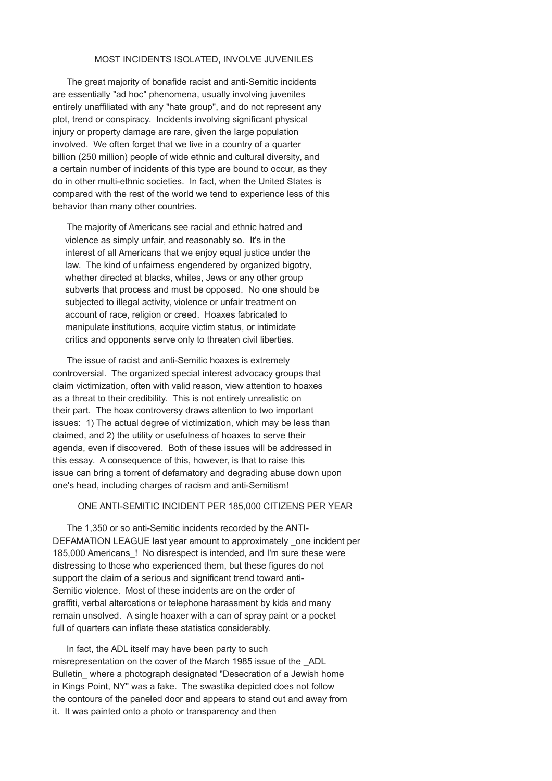#### MOST INCIDENTS ISOLATED, INVOLVE JUVENILES

The great majority of bonafide racist and anti-Semitic incidents are essentially "ad hoc" phenomena, usually involving juveniles entirely unaffiliated with any "hate group", and do not represent any plot, trend or conspiracy. Incidents involving significant physical injury or property damage are rare, given the large population involved. We often forget that we live in a country of a quarter billion (250 million) people of wide ethnic and cultural diversity, and a certain number of incidents of this type are bound to occur, as they do in other multi-ethnic societies. In fact, when the United States is compared with the rest of the world we tend to experience less of this behavior than many other countries.

The majority of Americans see racial and ethnic hatred and violence as simply unfair, and reasonably so. It's in the interest of all Americans that we enjoy equal justice under the law. The kind of unfairness engendered by organized bigotry, whether directed at blacks, whites, Jews or any other group subverts that process and must be opposed. No one should be subjected to illegal activity, violence or unfair treatment on account of race, religion or creed. Hoaxes fabricated to manipulate institutions, acquire victim status, or intimidate critics and opponents serve only to threaten civil liberties.

The issue of racist and anti-Semitic hoaxes is extremely controversial. The organized special interest advocacy groups that claim victimization, often with valid reason, view attention to hoaxes as a threat to their credibility. This is not entirely unrealistic on their part. The hoax controversy draws attention to two important issues: 1) The actual degree of victimization, which may be less than claimed, and 2) the utility or usefulness of hoaxes to serve their agenda, even if discovered. Both of these issues will be addressed in this essay. A consequence of this, however, is that to raise this issue can bring a torrent of defamatory and degrading abuse down upon one's head, including charges of racism and anti-Semitism!

#### ONE ANTI-SEMITIC INCIDENT PER 185,000 CITIZENS PER YEAR

The 1,350 or so anti-Semitic incidents recorded by the ANTI-DEFAMATION LEAGUE last year amount to approximately one incident per 185,000 Americans ! No disrespect is intended, and I'm sure these were distressing to those who experienced them, but these figures do not support the claim of a serious and significant trend toward anti-Semitic violence. Most of these incidents are on the order of graffiti, verbal altercations or telephone harassment by kids and many remain unsolved. A single hoaxer with a can of spray paint or a pocket full of quarters can inflate these statistics considerably.

In fact, the ADL itself may have been party to such misrepresentation on the cover of the March 1985 issue of the \_ADL Bulletin where a photograph designated "Desecration of a Jewish home in Kings Point, NY" was a fake. The swastika depicted does not follow the contours of the paneled door and appears to stand out and away from it. It was painted onto a photo or transparency and then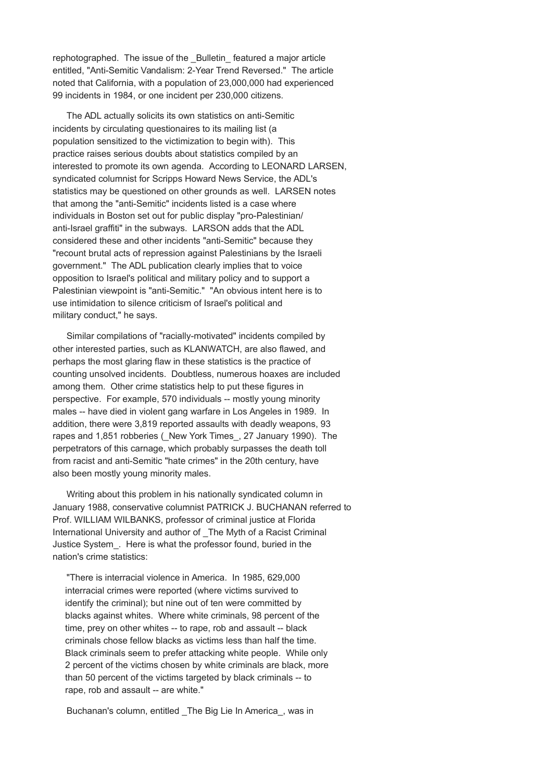rephotographed. The issue of the Bulletin featured a major article entitled, "Anti-Semitic Vandalism: 2-Year Trend Reversed." The article noted that California, with a population of 23,000,000 had experienced 99 incidents in 1984, or one incident per 230,000 citizens.

The ADL actually solicits its own statistics on anti-Semitic incidents by circulating questionaires to its mailing list (a population sensitized to the victimization to begin with). This practice raises serious doubts about statistics compiled by an interested to promote its own agenda. According to LEONARD LARSEN, syndicated columnist for Scripps Howard News Service, the ADL's statistics may be questioned on other grounds as well. LARSEN notes that among the "anti-Semitic" incidents listed is a case where individuals in Boston set out for public display "pro-Palestinian/ anti-Israel graffiti" in the subways. LARSON adds that the ADL considered these and other incidents "anti-Semitic" because they "recount brutal acts of repression against Palestinians by the Israeli government." The ADL publication clearly implies that to voice opposition to Israel's political and military policy and to support a Palestinian viewpoint is "anti-Semitic." "An obvious intent here is to use intimidation to silence criticism of Israel's political and military conduct," he says.

Similar compilations of "racially-motivated" incidents compiled by other interested parties, such as KLANWATCH, are also flawed, and perhaps the most glaring flaw in these statistics is the practice of counting unsolved incidents. Doubtless, numerous hoaxes are included among them. Other crime statistics help to put these figures in perspective. For example, 570 individuals -- mostly young minority males -- have died in violent gang warfare in Los Angeles in 1989. In addition, there were 3,819 reported assaults with deadly weapons, 93 rapes and 1,851 robberies (\_New York Times\_, 27 January 1990). The perpetrators of this carnage, which probably surpasses the death toll from racist and anti-Semitic "hate crimes" in the 20th century, have also been mostly young minority males.

Writing about this problem in his nationally syndicated column in January 1988, conservative columnist PATRICK J. BUCHANAN referred to Prof. WILLIAM WILBANKS, professor of criminal justice at Florida International University and author of \_The Myth of a Racist Criminal Justice System\_. Here is what the professor found, buried in the nation's crime statistics:

"There is interracial violence in America. In 1985, 629,000 interracial crimes were reported (where victims survived to identify the criminal); but nine out of ten were committed by blacks against whites. Where white criminals, 98 percent of the time, prey on other whites -- to rape, rob and assault -- black criminals chose fellow blacks as victims less than half the time. Black criminals seem to prefer attacking white people. While only 2 percent of the victims chosen by white criminals are black, more than 50 percent of the victims targeted by black criminals -- to rape, rob and assault -- are white."

Buchanan's column, entitled \_The Big Lie In America\_, was in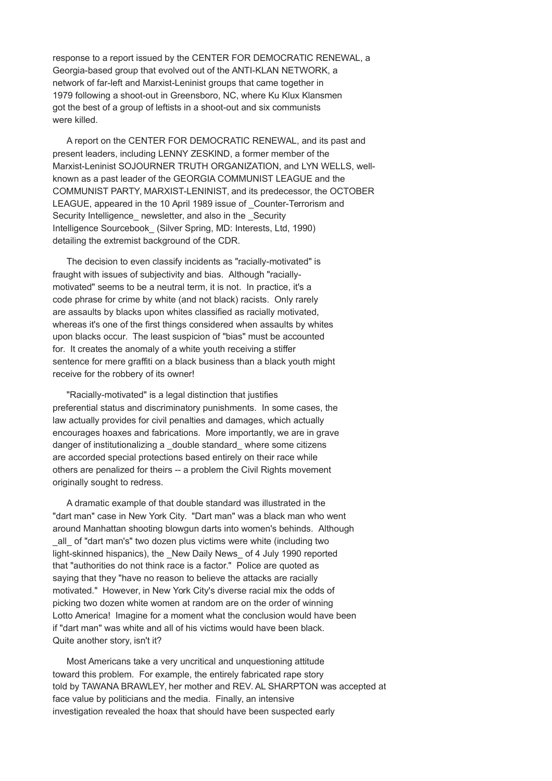response to a report issued by the CENTER FOR DEMOCRATIC RENEWAL, a Georgia-based group that evolved out of the ANTI-KLAN NETWORK, a network of far-left and Marxist-Leninist groups that came together in 1979 following a shoot-out in Greensboro, NC, where Ku Klux Klansmen got the best of a group of leftists in a shoot-out and six communists were killed.

A report on the CENTER FOR DEMOCRATIC RENEWAL, and its past and present leaders, including LENNY ZESKIND, a former member of the Marxist-Leninist SOJOURNER TRUTH ORGANIZATION, and LYN WELLS, wellknown as a past leader of the GEORGIA COMMUNIST LEAGUE and the COMMUNIST PARTY, MARXIST-LENINIST, and its predecessor, the OCTOBER LEAGUE, appeared in the 10 April 1989 issue of \_Counter-Terrorism and Security Intelligence newsletter, and also in the Security Intelligence Sourcebook\_ (Silver Spring, MD: Interests, Ltd, 1990) detailing the extremist background of the CDR.

The decision to even classify incidents as "racially-motivated" is fraught with issues of subjectivity and bias. Although "raciallymotivated" seems to be a neutral term, it is not. In practice, it's a code phrase for crime by white (and not black) racists. Only rarely are assaults by blacks upon whites classified as racially motivated, whereas it's one of the first things considered when assaults by whites upon blacks occur. The least suspicion of "bias" must be accounted for. It creates the anomaly of a white youth receiving a stiffer sentence for mere graffiti on a black business than a black youth might receive for the robbery of its owner!

"Racially-motivated" is a legal distinction that justifies preferential status and discriminatory punishments. In some cases, the law actually provides for civil penalties and damages, which actually encourages hoaxes and fabrications. More importantly, we are in grave danger of institutionalizing a double standard where some citizens are accorded special protections based entirely on their race while others are penalized for theirs -- a problem the Civil Rights movement originally sought to redress.

A dramatic example of that double standard was illustrated in the "dart man" case in New York City. "Dart man" was a black man who went around Manhattan shooting blowgun darts into women's behinds. Although all of "dart man's" two dozen plus victims were white (including two light-skinned hispanics), the \_New Daily News\_ of 4 July 1990 reported that "authorities do not think race is a factor." Police are quoted as saying that they "have no reason to believe the attacks are racially motivated." However, in New York City's diverse racial mix the odds of picking two dozen white women at random are on the order of winning Lotto America! Imagine for a moment what the conclusion would have been if "dart man" was white and all of his victims would have been black. Quite another story, isn't it?

Most Americans take a very uncritical and unquestioning attitude toward this problem. For example, the entirely fabricated rape story told by TAWANA BRAWLEY, her mother and REV. AL SHARPTON was accepted at face value by politicians and the media. Finally, an intensive investigation revealed the hoax that should have been suspected early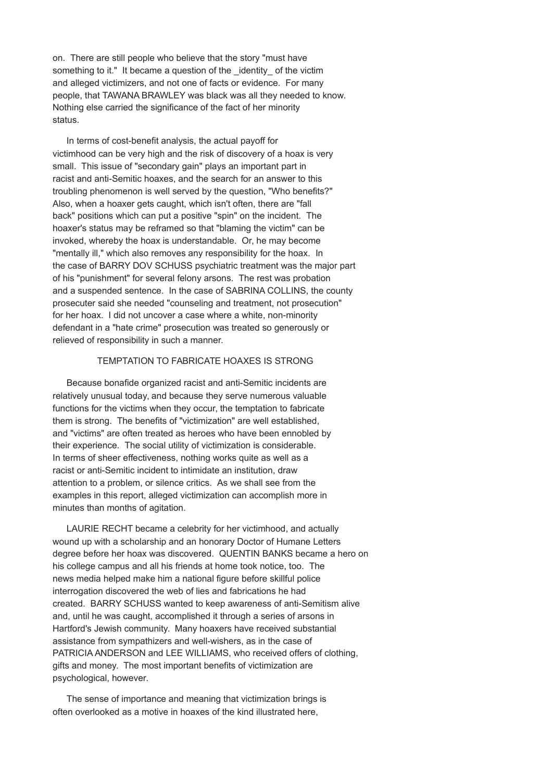on. There are still people who believe that the story "must have something to it." It became a question of the identity of the victim and alleged victimizers, and not one of facts or evidence. For many people, that TAWANA BRAWLEY was black was all they needed to know. Nothing else carried the significance of the fact of her minority status.

In terms of cost-benefit analysis, the actual payoff for victimhood can be very high and the risk of discovery of a hoax is very small. This issue of "secondary gain" plays an important part in racist and anti-Semitic hoaxes, and the search for an answer to this troubling phenomenon is well served by the question, "Who benefits?" Also, when a hoaxer gets caught, which isn't often, there are "fall back" positions which can put a positive "spin" on the incident. The hoaxer's status may be reframed so that "blaming the victim" can be invoked, whereby the hoax is understandable. Or, he may become "mentally ill," which also removes any responsibility for the hoax. In the case of BARRY DOV SCHUSS psychiatric treatment was the major part of his "punishment" for several felony arsons. The rest was probation and a suspended sentence. In the case of SABRINA COLLINS, the county prosecuter said she needed "counseling and treatment, not prosecution" for her hoax. I did not uncover a case where a white, non-minority defendant in a "hate crime" prosecution was treated so generously or relieved of responsibility in such a manner.

# TEMPTATION TO FABRICATE HOAXES IS STRONG

Because bonafide organized racist and anti-Semitic incidents are relatively unusual today, and because they serve numerous valuable functions for the victims when they occur, the temptation to fabricate them is strong. The benefits of "victimization" are well established, and "victims" are often treated as heroes who have been ennobled by their experience. The social utility of victimization is considerable. In terms of sheer effectiveness, nothing works quite as well as a racist or anti-Semitic incident to intimidate an institution, draw attention to a problem, or silence critics. As we shall see from the examples in this report, alleged victimization can accomplish more in minutes than months of agitation.

LAURIE RECHT became a celebrity for her victimhood, and actually wound up with a scholarship and an honorary Doctor of Humane Letters degree before her hoax was discovered. QUENTIN BANKS became a hero on his college campus and all his friends at home took notice, too. The news media helped make him a national figure before skillful police interrogation discovered the web of lies and fabrications he had created. BARRY SCHUSS wanted to keep awareness of anti-Semitism alive and, until he was caught, accomplished it through a series of arsons in Hartford's Jewish community. Many hoaxers have received substantial assistance from sympathizers and well-wishers, as in the case of PATRICIA ANDERSON and LEE WILLIAMS, who received offers of clothing, gifts and money. The most important benefits of victimization are psychological, however.

The sense of importance and meaning that victimization brings is often overlooked as a motive in hoaxes of the kind illustrated here,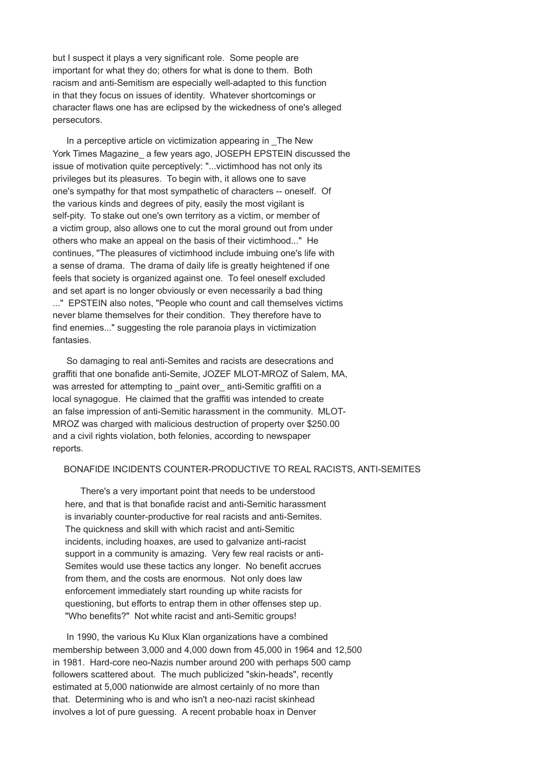but I suspect it plays a very significant role. Some people are important for what they do; others for what is done to them. Both racism and anti-Semitism are especially well-adapted to this function in that they focus on issues of identity. Whatever shortcomings or character flaws one has are eclipsed by the wickedness of one's alleged persecutors.

In a perceptive article on victimization appearing in The New York Times Magazine a few years ago, JOSEPH EPSTEIN discussed the issue of motivation quite perceptively: "...victimhood has not only its privileges but its pleasures. To begin with, it allows one to save one's sympathy for that most sympathetic of characters -- oneself. Of the various kinds and degrees of pity, easily the most vigilant is self-pity. To stake out one's own territory as a victim, or member of a victim group, also allows one to cut the moral ground out from under others who make an appeal on the basis of their victimhood..." He continues, "The pleasures of victimhood include imbuing one's life with a sense of drama. The drama of daily life is greatly heightened if one feels that society is organized against one. To feel oneself excluded and set apart is no longer obviously or even necessarily a bad thing ..." EPSTEIN also notes, "People who count and call themselves victims never blame themselves for their condition. They therefore have to find enemies..." suggesting the role paranoia plays in victimization fantasies.

So damaging to real anti-Semites and racists are desecrations and graffiti that one bonafide anti-Semite, JOZEF MLOT-MROZ of Salem, MA, was arrested for attempting to paint over anti-Semitic graffiti on a local synagogue. He claimed that the graffiti was intended to create an false impression of anti-Semitic harassment in the community. MLOT-MROZ was charged with malicious destruction of property over \$250.00 and a civil rights violation, both felonies, according to newspaper reports.

### BONAFIDE INCIDENTS COUNTER-PRODUCTIVE TO REAL RACISTS, ANTI-SEMITES

There's a very important point that needs to be understood here, and that is that bonafide racist and anti-Semitic harassment is invariably counter-productive for real racists and anti-Semites. The quickness and skill with which racist and anti-Semitic incidents, including hoaxes, are used to galvanize anti-racist support in a community is amazing. Very few real racists or anti-Semites would use these tactics any longer. No benefit accrues from them, and the costs are enormous. Not only does law enforcement immediately start rounding up white racists for questioning, but efforts to entrap them in other offenses step up. "Who benefits?" Not white racist and anti-Semitic groups!

In 1990, the various Ku Klux Klan organizations have a combined membership between 3,000 and 4,000 down from 45,000 in 1964 and 12,500 in 1981. Hard-core neo-Nazis number around 200 with perhaps 500 camp followers scattered about. The much publicized "skin-heads", recently estimated at 5,000 nationwide are almost certainly of no more than that. Determining who is and who isn't a neo-nazi racist skinhead involves a lot of pure guessing. A recent probable hoax in Denver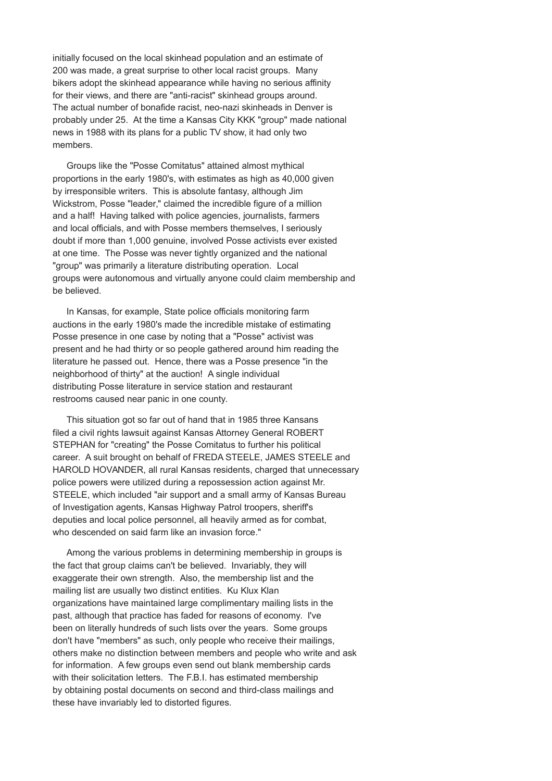initially focused on the local skinhead population and an estimate of 200 was made, a great surprise to other local racist groups. Many bikers adopt the skinhead appearance while having no serious affinity for their views, and there are "anti-racist" skinhead groups around. The actual number of bonafide racist, neo-nazi skinheads in Denver is probably under 25. At the time a Kansas City KKK "group" made national news in 1988 with its plans for a public TV show, it had only two members.

Groups like the "Posse Comitatus" attained almost mythical proportions in the early 1980's, with estimates as high as 40,000 given by irresponsible writers. This is absolute fantasy, although Jim Wickstrom, Posse "leader," claimed the incredible figure of a million and a half! Having talked with police agencies, journalists, farmers and local officials, and with Posse members themselves, I seriously doubt if more than 1,000 genuine, involved Posse activists ever existed at one time. The Posse was never tightly organized and the national "group" was primarily a literature distributing operation. Local groups were autonomous and virtually anyone could claim membership and be believed.

In Kansas, for example, State police officials monitoring farm auctions in the early 1980's made the incredible mistake of estimating Posse presence in one case by noting that a "Posse" activist was present and he had thirty or so people gathered around him reading the literature he passed out. Hence, there was a Posse presence "in the neighborhood of thirty" at the auction! A single individual distributing Posse literature in service station and restaurant restrooms caused near panic in one county.

This situation got so far out of hand that in 1985 three Kansans filed a civil rights lawsuit against Kansas Attorney General ROBERT STEPHAN for "creating" the Posse Comitatus to further his political career. A suit brought on behalf of FREDA STEELE, JAMES STEELE and HAROLD HOVANDER, all rural Kansas residents, charged that unnecessary police powers were utilized during a repossession action against Mr. STEELE, which included "air support and a small army of Kansas Bureau of Investigation agents, Kansas Highway Patrol troopers, sheriff's deputies and local police personnel, all heavily armed as for combat, who descended on said farm like an invasion force."

Among the various problems in determining membership in groups is the fact that group claims can't be believed. Invariably, they will exaggerate their own strength. Also, the membership list and the mailing list are usually two distinct entities. Ku Klux Klan organizations have maintained large complimentary mailing lists in the past, although that practice has faded for reasons of economy. I've been on literally hundreds of such lists over the years. Some groups don't have "members" as such, only people who receive their mailings, others make no distinction between members and people who write and ask for information. A few groups even send out blank membership cards with their solicitation letters. The F.B.I. has estimated membership by obtaining postal documents on second and third-class mailings and these have invariably led to distorted figures.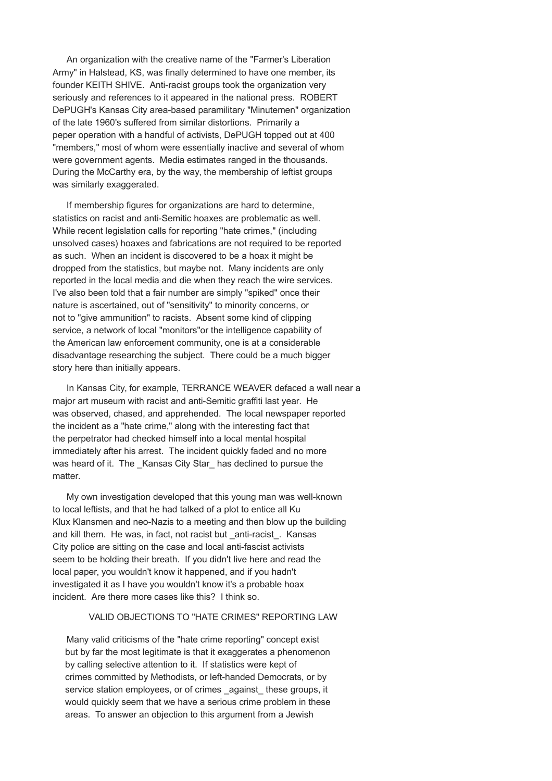An organization with the creative name of the "Farmer's Liberation Army" in Halstead, KS, was finally determined to have one member, its founder KEITH SHIVE. Anti-racist groups took the organization very seriously and references to it appeared in the national press. ROBERT DePUGH's Kansas City area-based paramilitary "Minutemen" organization of the late 1960's suffered from similar distortions. Primarily a peper operation with a handful of activists, DePUGH topped out at 400 "members," most of whom were essentially inactive and several of whom were government agents. Media estimates ranged in the thousands. During the McCarthy era, by the way, the membership of leftist groups was similarly exaggerated.

If membership figures for organizations are hard to determine, statistics on racist and anti-Semitic hoaxes are problematic as well. While recent legislation calls for reporting "hate crimes," (including unsolved cases) hoaxes and fabrications are not required to be reported as such. When an incident is discovered to be a hoax it might be dropped from the statistics, but maybe not. Many incidents are only reported in the local media and die when they reach the wire services. I've also been told that a fair number are simply "spiked" once their nature is ascertained, out of "sensitivity" to minority concerns, or not to "give ammunition" to racists. Absent some kind of clipping service, a network of local "monitors"or the intelligence capability of the American law enforcement community, one is at a considerable disadvantage researching the subject. There could be a much bigger story here than initially appears.

In Kansas City, for example, TERRANCE WEAVER defaced a wall near a major art museum with racist and anti-Semitic graffiti last year. He was observed, chased, and apprehended. The local newspaper reported the incident as a "hate crime," along with the interesting fact that the perpetrator had checked himself into a local mental hospital immediately after his arrest. The incident quickly faded and no more was heard of it. The Kansas City Star has declined to pursue the matter.

My own investigation developed that this young man was well-known to local leftists, and that he had talked of a plot to entice all Ku Klux Klansmen and neo-Nazis to a meeting and then blow up the building and kill them. He was, in fact, not racist but \_anti-racist\_. Kansas City police are sitting on the case and local anti-fascist activists seem to be holding their breath. If you didn't live here and read the local paper, you wouldn't know it happened, and if you hadn't investigated it as I have you wouldn't know it's a probable hoax incident. Are there more cases like this? I think so.

## VALID OBJECTIONS TO "HATE CRIMES" REPORTING LAW

Many valid criticisms of the "hate crime reporting" concept exist but by far the most legitimate is that it exaggerates a phenomenon by calling selective attention to it. If statistics were kept of crimes committed by Methodists, or left-handed Democrats, or by service station employees, or of crimes against these groups, it would quickly seem that we have a serious crime problem in these areas. To answer an objection to this argument from a Jewish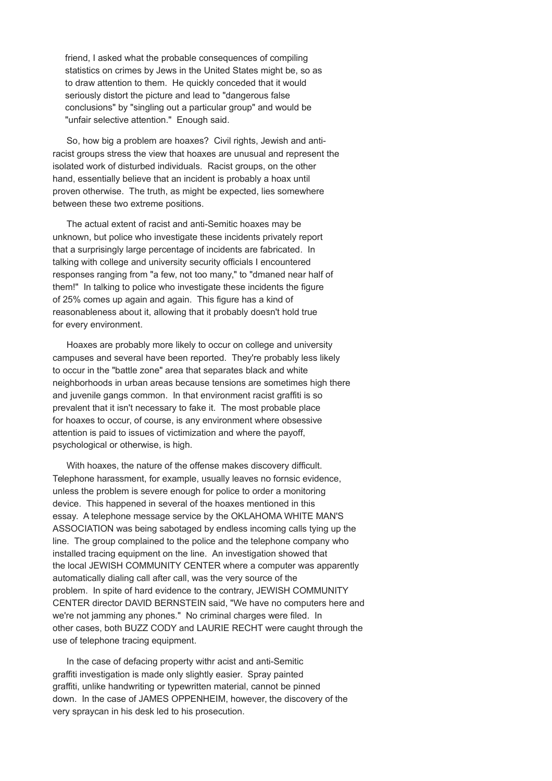friend, I asked what the probable consequences of compiling statistics on crimes by Jews in the United States might be, so as to draw attention to them. He quickly conceded that it would seriously distort the picture and lead to "dangerous false conclusions" by "singling out a particular group" and would be "unfair selective attention." Enough said.

So, how big a problem are hoaxes? Civil rights, Jewish and antiracist groups stress the view that hoaxes are unusual and represent the isolated work of disturbed individuals. Racist groups, on the other hand, essentially believe that an incident is probably a hoax until proven otherwise. The truth, as might be expected, lies somewhere between these two extreme positions.

The actual extent of racist and anti-Semitic hoaxes may be unknown, but police who investigate these incidents privately report that a surprisingly large percentage of incidents are fabricated. In talking with college and university security officials I encountered responses ranging from "a few, not too many," to "dmaned near half of them!" In talking to police who investigate these incidents the figure of 25% comes up again and again. This figure has a kind of reasonableness about it, allowing that it probably doesn't hold true for every environment.

Hoaxes are probably more likely to occur on college and university campuses and several have been reported. They're probably less likely to occur in the "battle zone" area that separates black and white neighborhoods in urban areas because tensions are sometimes high there and juvenile gangs common. In that environment racist graffiti is so prevalent that it isn't necessary to fake it. The most probable place for hoaxes to occur, of course, is any environment where obsessive attention is paid to issues of victimization and where the payoff, psychological or otherwise, is high.

With hoaxes, the nature of the offense makes discovery difficult. Telephone harassment, for example, usually leaves no fornsic evidence, unless the problem is severe enough for police to order a monitoring device. This happened in several of the hoaxes mentioned in this essay. A telephone message service by the OKLAHOMA WHITE MAN'S ASSOCIATION was being sabotaged by endless incoming calls tying up the line. The group complained to the police and the telephone company who installed tracing equipment on the line. An investigation showed that the local JEWISH COMMUNITY CENTER where a computer was apparently automatically dialing call after call, was the very source of the problem. In spite of hard evidence to the contrary, JEWISH COMMUNITY CENTER director DAVID BERNSTEIN said, "We have no computers here and we're not jamming any phones." No criminal charges were filed. In other cases, both BUZZ CODY and LAURIE RECHT were caught through the use of telephone tracing equipment.

In the case of defacing property withr acist and anti-Semitic graffiti investigation is made only slightly easier. Spray painted graffiti, unlike handwriting or typewritten material, cannot be pinned down. In the case of JAMES OPPENHEIM, however, the discovery of the very spraycan in his desk led to his prosecution.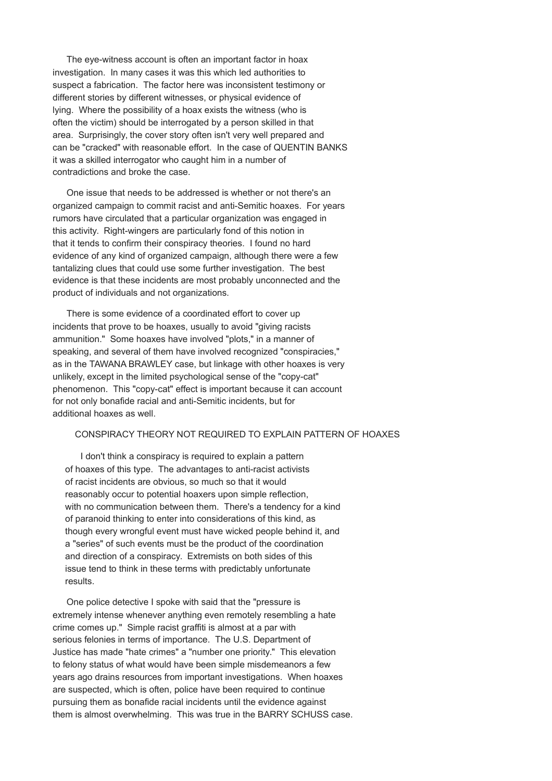The eye-witness account is often an important factor in hoax investigation. In many cases it was this which led authorities to suspect a fabrication. The factor here was inconsistent testimony or different stories by different witnesses, or physical evidence of lying. Where the possibility of a hoax exists the witness (who is often the victim) should be interrogated by a person skilled in that area. Surprisingly, the cover story often isn't very well prepared and can be "cracked" with reasonable effort. In the case of QUENTIN BANKS it was a skilled interrogator who caught him in a number of contradictions and broke the case.

One issue that needs to be addressed is whether or not there's an organized campaign to commit racist and anti-Semitic hoaxes. For years rumors have circulated that a particular organization was engaged in this activity. Right-wingers are particularly fond of this notion in that it tends to confirm their conspiracy theories. I found no hard evidence of any kind of organized campaign, although there were a few tantalizing clues that could use some further investigation. The best evidence is that these incidents are most probably unconnected and the product of individuals and not organizations.

There is some evidence of a coordinated effort to cover up incidents that prove to be hoaxes, usually to avoid "giving racists ammunition." Some hoaxes have involved "plots," in a manner of speaking, and several of them have involved recognized "conspiracies," as in the TAWANA BRAWLEY case, but linkage with other hoaxes is very unlikely, except in the limited psychological sense of the "copy-cat" phenomenon. This "copy-cat" effect is important because it can account for not only bonafide racial and anti-Semitic incidents, but for additional hoaxes as well.

## CONSPIRACY THEORY NOT REQUIRED TO EXPLAIN PATTERN OF HOAXES

I don't think a conspiracy is required to explain a pattern of hoaxes of this type. The advantages to anti-racist activists of racist incidents are obvious, so much so that it would reasonably occur to potential hoaxers upon simple reflection, with no communication between them. There's a tendency for a kind of paranoid thinking to enter into considerations of this kind, as though every wrongful event must have wicked people behind it, and a "series" of such events must be the product of the coordination and direction of a conspiracy. Extremists on both sides of this issue tend to think in these terms with predictably unfortunate results.

One police detective I spoke with said that the "pressure is extremely intense whenever anything even remotely resembling a hate crime comes up." Simple racist graffiti is almost at a par with serious felonies in terms of importance. The U.S. Department of Justice has made "hate crimes" a "number one priority." This elevation to felony status of what would have been simple misdemeanors a few years ago drains resources from important investigations. When hoaxes are suspected, which is often, police have been required to continue pursuing them as bonafide racial incidents until the evidence against them is almost overwhelming. This was true in the BARRY SCHUSS case.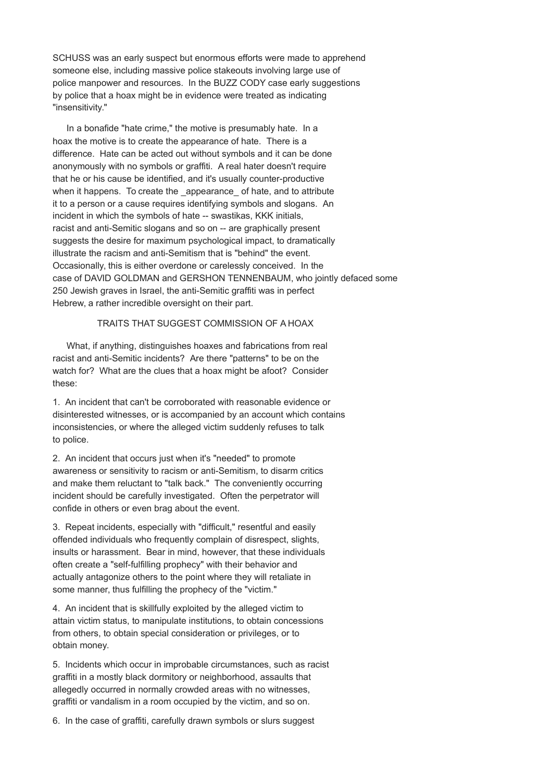SCHUSS was an early suspect but enormous efforts were made to apprehend someone else, including massive police stakeouts involving large use of police manpower and resources. In the BUZZ CODY case early suggestions by police that a hoax might be in evidence were treated as indicating "insensitivity."

In a bonafide "hate crime," the motive is presumably hate. In a hoax the motive is to create the appearance of hate. There is a difference. Hate can be acted out without symbols and it can be done anonymously with no symbols or graffiti. A real hater doesn't require that he or his cause be identified, and it's usually counter-productive when it happens. To create the appearance of hate, and to attribute it to a person or a cause requires identifying symbols and slogans. An incident in which the symbols of hate -- swastikas, KKK initials, racist and anti-Semitic slogans and so on -- are graphically present suggests the desire for maximum psychological impact, to dramatically illustrate the racism and anti-Semitism that is "behind" the event. Occasionally, this is either overdone or carelessly conceived. In the case of DAVID GOLDMAN and GERSHON TENNENBAUM, who jointly defaced some 250 Jewish graves in Israel, the anti-Semitic graffiti was in perfect Hebrew, a rather incredible oversight on their part.

## TRAITS THAT SUGGEST COMMISSION OF A HOAX

What, if anything, distinguishes hoaxes and fabrications from real racist and anti-Semitic incidents? Are there "patterns" to be on the watch for? What are the clues that a hoax might be afoot? Consider these:

1. An incident that can't be corroborated with reasonable evidence or disinterested witnesses, or is accompanied by an account which contains inconsistencies, or where the alleged victim suddenly refuses to talk to police.

2. An incident that occurs just when it's "needed" to promote awareness or sensitivity to racism or anti-Semitism, to disarm critics and make them reluctant to "talk back." The conveniently occurring incident should be carefully investigated. Often the perpetrator will confide in others or even brag about the event.

3. Repeat incidents, especially with "difficult," resentful and easily offended individuals who frequently complain of disrespect, slights, insults or harassment. Bear in mind, however, that these individuals often create a "self-fulfilling prophecy" with their behavior and actually antagonize others to the point where they will retaliate in some manner, thus fulfilling the prophecy of the "victim."

4. An incident that is skillfully exploited by the alleged victim to attain victim status, to manipulate institutions, to obtain concessions from others, to obtain special consideration or privileges, or to obtain money.

5. Incidents which occur in improbable circumstances, such as racist graffiti in a mostly black dormitory or neighborhood, assaults that allegedly occurred in normally crowded areas with no witnesses, graffiti or vandalism in a room occupied by the victim, and so on.

6. In the case of graffiti, carefully drawn symbols or slurs suggest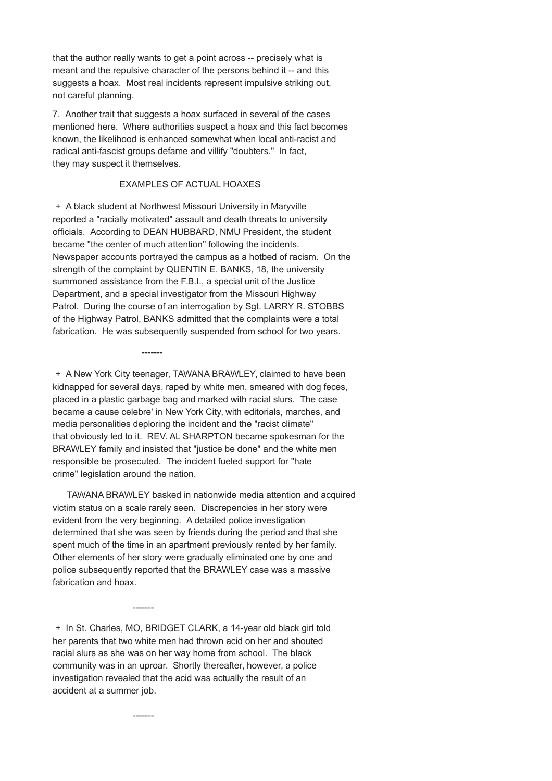that the author really wants to get a point across -- precisely what is meant and the repulsive character of the persons behind it -- and this suggests a hoax. Most real incidents represent impulsive striking out, not careful planning.

7. Another trait that suggests a hoax surfaced in several of the cases mentioned here. Where authorities suspect a hoax and this fact becomes known, the likelihood is enhanced somewhat when local anti-racist and radical anti-fascist groups defame and villify "doubters." In fact, they may suspect it themselves.

# EXAMPLES OF ACTUAL HOAXES

+ A black student at Northwest Missouri University in Maryville reported a "racially motivated" assault and death threats to university officials. According to DEAN HUBBARD, NMU President, the student became "the center of much attention" following the incidents. Newspaper accounts portrayed the campus as a hotbed of racism. On the strength of the complaint by QUENTIN E. BANKS, 18, the university summoned assistance from the F.B.I., a special unit of the Justice Department, and a special investigator from the Missouri Highway Patrol. During the course of an interrogation by Sgt. LARRY R. STOBBS of the Highway Patrol, BANKS admitted that the complaints were a total fabrication. He was subsequently suspended from school for two years.

+ A New York City teenager, TAWANA BRAWLEY, claimed to have been kidnapped for several days, raped by white men, smeared with dog feces, placed in a plastic garbage bag and marked with racial slurs. The case became a cause celebre' in New York City, with editorials, marches, and media personalities deploring the incident and the "racist climate" that obviously led to it. REV. AL SHARPTON became spokesman for the BRAWLEY family and insisted that "justice be done" and the white men responsible be prosecuted. The incident fueled support for "hate crime" legislation around the nation.

-------

TAWANA BRAWLEY basked in nationwide media attention and acquired victim status on a scale rarely seen. Discrepencies in her story were evident from the very beginning. A detailed police investigation determined that she was seen by friends during the period and that she spent much of the time in an apartment previously rented by her family. Other elements of her story were gradually eliminated one by one and police subsequently reported that the BRAWLEY case was a massive fabrication and hoax.

+ In St. Charles, MO, BRIDGET CLARK, a 14-year old black girl told her parents that two white men had thrown acid on her and shouted racial slurs as she was on her way home from school. The black community was in an uproar. Shortly thereafter, however, a police investigation revealed that the acid was actually the result of an accident at a summer job.

-------

-------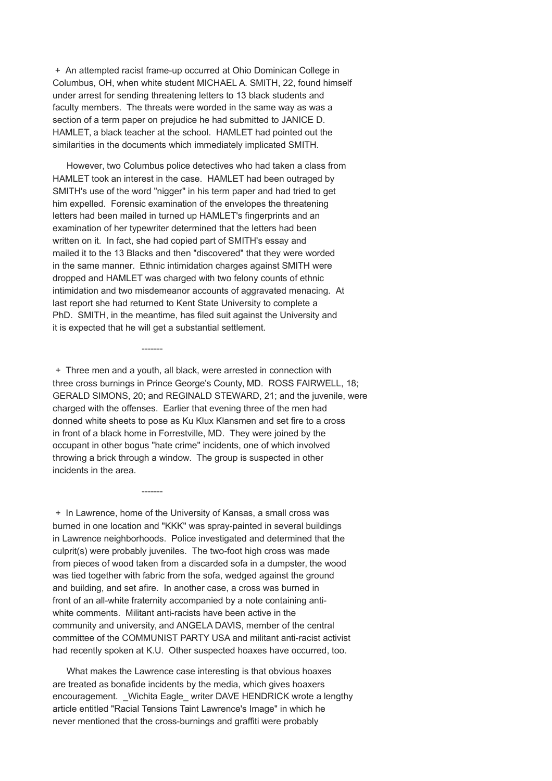+ An attempted racist frame-up occurred at Ohio Dominican College in Columbus, OH, when white student MICHAEL A. SMITH, 22, found himself under arrest for sending threatening letters to 13 black students and faculty members. The threats were worded in the same way as was a section of a term paper on prejudice he had submitted to JANICE D. HAMLET, a black teacher at the school. HAMLET had pointed out the similarities in the documents which immediately implicated SMITH.

However, two Columbus police detectives who had taken a class from HAMLET took an interest in the case. HAMLET had been outraged by SMITH's use of the word "nigger" in his term paper and had tried to get him expelled. Forensic examination of the envelopes the threatening letters had been mailed in turned up HAMLET's fingerprints and an examination of her typewriter determined that the letters had been written on it. In fact, she had copied part of SMITH's essay and mailed it to the 13 Blacks and then "discovered" that they were worded in the same manner. Ethnic intimidation charges against SMITH were dropped and HAMLET was charged with two felony counts of ethnic intimidation and two misdemeanor accounts of aggravated menacing. At last report she had returned to Kent State University to complete a PhD. SMITH, in the meantime, has filed suit against the University and it is expected that he will get a substantial settlement.

-------

-------

+ Three men and a youth, all black, were arrested in connection with three cross burnings in Prince George's County, MD. ROSS FAIRWELL, 18; GERALD SIMONS, 20; and REGINALD STEWARD, 21; and the juvenile, were charged with the offenses. Earlier that evening three of the men had donned white sheets to pose as Ku Klux Klansmen and set fire to a cross in front of a black home in Forrestville, MD. They were joined by the occupant in other bogus "hate crime" incidents, one of which involved throwing a brick through a window. The group is suspected in other incidents in the area.

+ In Lawrence, home of the University of Kansas, a small cross was burned in one location and "KKK" was spray-painted in several buildings in Lawrence neighborhoods. Police investigated and determined that the culprit(s) were probably juveniles. The two-foot high cross was made from pieces of wood taken from a discarded sofa in a dumpster, the wood was tied together with fabric from the sofa, wedged against the ground and building, and set afire. In another case, a cross was burned in front of an all-white fraternity accompanied by a note containing antiwhite comments. Militant anti-racists have been active in the community and university, and ANGELA DAVIS, member of the central committee of the COMMUNIST PARTY USA and militant anti-racist activist had recently spoken at K.U. Other suspected hoaxes have occurred, too.

What makes the Lawrence case interesting is that obvious hoaxes are treated as bonafide incidents by the media, which gives hoaxers encouragement. Wichita Eagle writer DAVE HENDRICK wrote a lengthy article entitled "Racial Tensions Taint Lawrence's Image" in which he never mentioned that the cross-burnings and graffiti were probably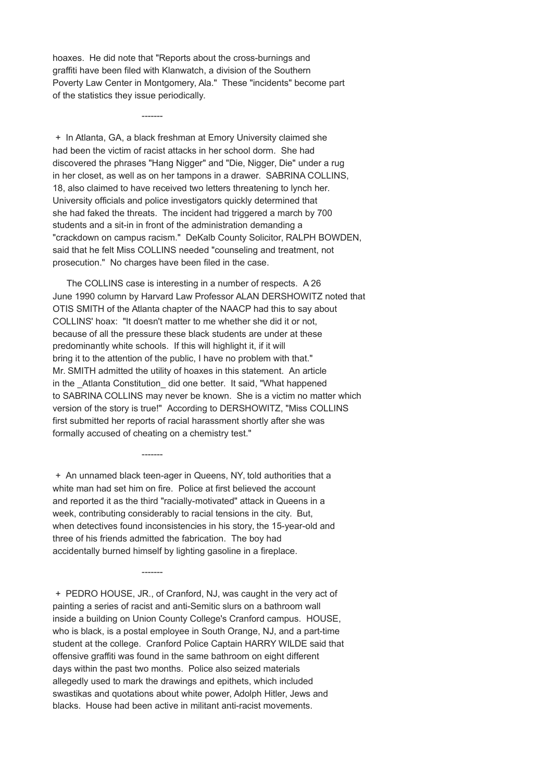hoaxes. He did note that "Reports about the cross-burnings and graffiti have been filed with Klanwatch, a division of the Southern Poverty Law Center in Montgomery, Ala." These "incidents" become part of the statistics they issue periodically.

-------

+ In Atlanta, GA, a black freshman at Emory University claimed she had been the victim of racist attacks in her school dorm. She had discovered the phrases "Hang Nigger" and "Die, Nigger, Die" under a rug in her closet, as well as on her tampons in a drawer. SABRINA COLLINS, 18, also claimed to have received two letters threatening to lynch her. University officials and police investigators quickly determined that she had faked the threats. The incident had triggered a march by 700 students and a sit-in in front of the administration demanding a "crackdown on campus racism." DeKalb County Solicitor, RALPH BOWDEN, said that he felt Miss COLLINS needed "counseling and treatment, not prosecution." No charges have been filed in the case.

The COLLINS case is interesting in a number of respects. A 26 June 1990 column by Harvard Law Professor ALAN DERSHOWITZ noted that OTIS SMITH of the Atlanta chapter of the NAACP had this to say about COLLINS' hoax: "It doesn't matter to me whether she did it or not, because of all the pressure these black students are under at these predominantly white schools. If this will highlight it, if it will bring it to the attention of the public, I have no problem with that." Mr. SMITH admitted the utility of hoaxes in this statement. An article in the Atlanta Constitution did one better. It said, "What happened to SABRINA COLLINS may never be known. She is a victim no matter which version of the story is true!" According to DERSHOWITZ, "Miss COLLINS first submitted her reports of racial harassment shortly after she was formally accused of cheating on a chemistry test."

+ An unnamed black teen-ager in Queens, NY, told authorities that a white man had set him on fire. Police at first believed the account and reported it as the third "racially-motivated" attack in Queens in a week, contributing considerably to racial tensions in the city. But, when detectives found inconsistencies in his story, the 15-year-old and three of his friends admitted the fabrication. The boy had accidentally burned himself by lighting gasoline in a fireplace.

-------

-------

+ PEDRO HOUSE, JR., of Cranford, NJ, was caught in the very act of painting a series of racist and anti-Semitic slurs on a bathroom wall inside a building on Union County College's Cranford campus. HOUSE, who is black, is a postal employee in South Orange, NJ, and a part-time student at the college. Cranford Police Captain HARRY WILDE said that offensive graffiti was found in the same bathroom on eight different days within the past two months. Police also seized materials allegedly used to mark the drawings and epithets, which included swastikas and quotations about white power, Adolph Hitler, Jews and blacks. House had been active in militant anti-racist movements.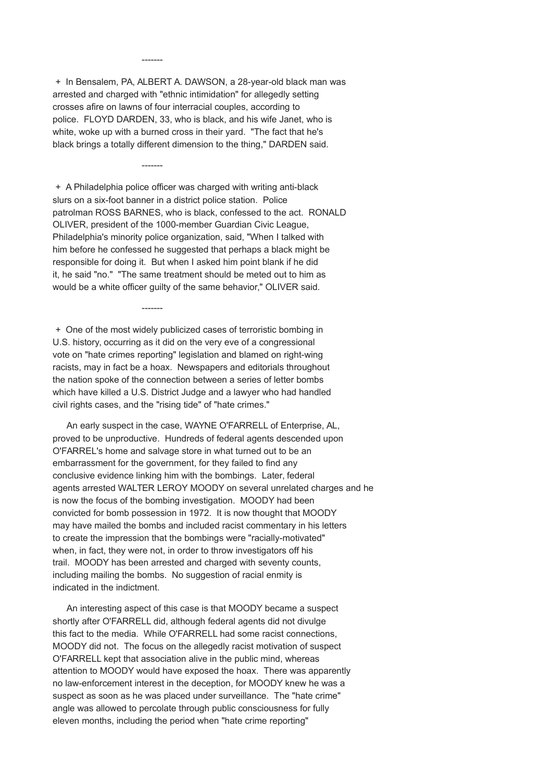+ In Bensalem, PA, ALBERT A. DAWSON, a 28-year-old black man was arrested and charged with "ethnic intimidation" for allegedly setting crosses afire on lawns of four interracial couples, according to police. FLOYD DARDEN, 33, who is black, and his wife Janet, who is white, woke up with a burned cross in their yard. "The fact that he's black brings a totally different dimension to the thing," DARDEN said.

-------

-------

-------

+ A Philadelphia police officer was charged with writing anti-black slurs on a six-foot banner in a district police station. Police patrolman ROSS BARNES, who is black, confessed to the act. RONALD OLIVER, president of the 1000-member Guardian Civic League, Philadelphia's minority police organization, said, "When I talked with him before he confessed he suggested that perhaps a black might be responsible for doing it. But when I asked him point blank if he did it, he said "no." "The same treatment should be meted out to him as would be a white officer guilty of the same behavior," OLIVER said.

+ One of the most widely publicized cases of terroristic bombing in U.S. history, occurring as it did on the very eve of a congressional vote on "hate crimes reporting" legislation and blamed on right-wing racists, may in fact be a hoax. Newspapers and editorials throughout the nation spoke of the connection between a series of letter bombs which have killed a U.S. District Judge and a lawyer who had handled civil rights cases, and the "rising tide" of "hate crimes."

An early suspect in the case, WAYNE O'FARRELL of Enterprise, AL, proved to be unproductive. Hundreds of federal agents descended upon O'FARREL's home and salvage store in what turned out to be an embarrassment for the government, for they failed to find any conclusive evidence linking him with the bombings. Later, federal agents arrested WALTER LEROY MOODY on several unrelated charges and he is now the focus of the bombing investigation. MOODY had been convicted for bomb possession in 1972. It is now thought that MOODY may have mailed the bombs and included racist commentary in his letters to create the impression that the bombings were "racially-motivated" when, in fact, they were not, in order to throw investigators off his trail. MOODY has been arrested and charged with seventy counts, including mailing the bombs. No suggestion of racial enmity is indicated in the indictment.

An interesting aspect of this case is that MOODY became a suspect shortly after O'FARRELL did, although federal agents did not divulge this fact to the media. While O'FARRELL had some racist connections, MOODY did not. The focus on the allegedly racist motivation of suspect O'FARRELL kept that association alive in the public mind, whereas attention to MOODY would have exposed the hoax. There was apparently no law-enforcement interest in the deception, for MOODY knew he was a suspect as soon as he was placed under surveillance. The "hate crime" angle was allowed to percolate through public consciousness for fully eleven months, including the period when "hate crime reporting"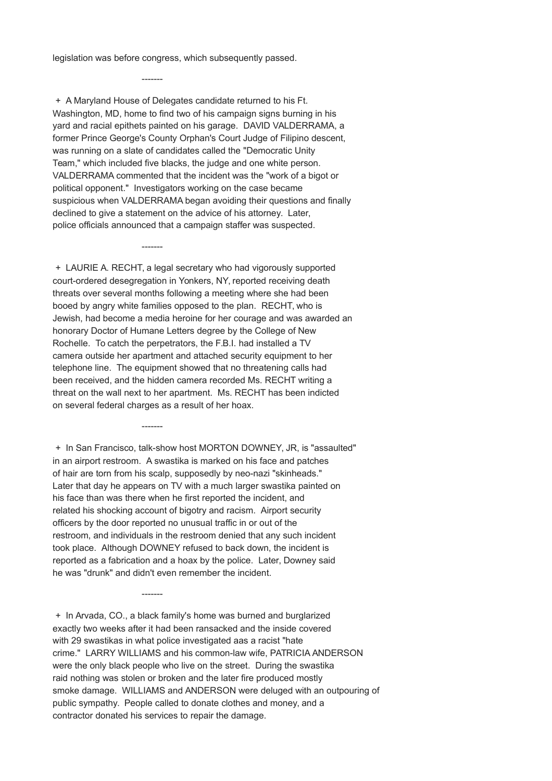legislation was before congress, which subsequently passed.

-------

-------

-------

-------

+ A Maryland House of Delegates candidate returned to his Ft. Washington, MD, home to find two of his campaign signs burning in his yard and racial epithets painted on his garage. DAVID VALDERRAMA, a former Prince George's County Orphan's Court Judge of Filipino descent, was running on a slate of candidates called the "Democratic Unity Team," which included five blacks, the judge and one white person. VALDERRAMA commented that the incident was the "work of a bigot or political opponent." Investigators working on the case became suspicious when VALDERRAMA began avoiding their questions and finally declined to give a statement on the advice of his attorney. Later, police officials announced that a campaign staffer was suspected.

+ LAURIE A. RECHT, a legal secretary who had vigorously supported court-ordered desegregation in Yonkers, NY, reported receiving death threats over several months following a meeting where she had been booed by angry white families opposed to the plan. RECHT, who is Jewish, had become a media heroine for her courage and was awarded an honorary Doctor of Humane Letters degree by the College of New Rochelle. To catch the perpetrators, the F.B.I. had installed a TV camera outside her apartment and attached security equipment to her telephone line. The equipment showed that no threatening calls had been received, and the hidden camera recorded Ms. RECHT writing a threat on the wall next to her apartment. Ms. RECHT has been indicted on several federal charges as a result of her hoax.

+ In San Francisco, talk-show host MORTON DOWNEY, JR, is "assaulted" in an airport restroom. A swastika is marked on his face and patches of hair are torn from his scalp, supposedly by neo-nazi "skinheads." Later that day he appears on TV with a much larger swastika painted on his face than was there when he first reported the incident, and related his shocking account of bigotry and racism. Airport security officers by the door reported no unusual traffic in or out of the restroom, and individuals in the restroom denied that any such incident took place. Although DOWNEY refused to back down, the incident is reported as a fabrication and a hoax by the police. Later, Downey said he was "drunk" and didn't even remember the incident.

+ In Arvada, CO., a black family's home was burned and burglarized exactly two weeks after it had been ransacked and the inside covered with 29 swastikas in what police investigated aas a racist "hate crime." LARRY WILLIAMS and his common-law wife, PATRICIA ANDERSON were the only black people who live on the street. During the swastika raid nothing was stolen or broken and the later fire produced mostly smoke damage. WILLIAMS and ANDERSON were deluged with an outpouring of public sympathy. People called to donate clothes and money, and a contractor donated his services to repair the damage.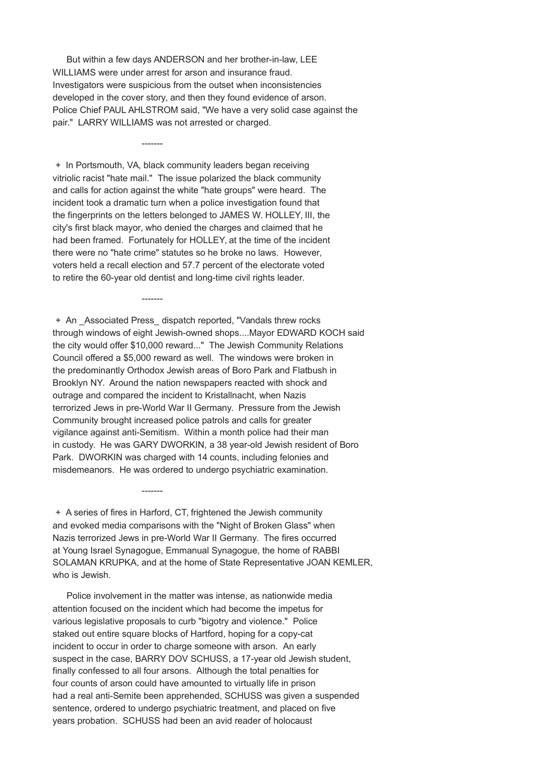But within a few days ANDERSON and her brother-in-law, LEE WILLIAMS were under arrest for arson and insurance fraud. Investigators were suspicious from the outset when inconsistencies developed in the cover story, and then they found evidence of arson. Police Chief PAUL AHLSTROM said, "We have a very solid case against the pair." LARRY WILLIAMS was not arrested or charged.

+ In Portsmouth, VA, black community leaders began receiving vitriolic racist "hate mail." The issue polarized the black community and calls for action against the white "hate groups" were heard. The incident took a dramatic turn when a police investigation found that the fingerprints on the letters belonged to JAMES W. HOLLEY, III, the city's first black mayor, who denied the charges and claimed that he had been framed. Fortunately for HOLLEY, at the time of the incident there were no "hate crime" statutes so he broke no laws. However, voters held a recall election and 57.7 percent of the electorate voted to retire the 60-year old dentist and long-time civil rights leader.

-------

-------

-------

+ An \_Associated Press\_ dispatch reported, "Vandals threw rocks through windows of eight Jewish-owned shops....Mayor EDWARD KOCH said the city would offer \$10,000 reward..." The Jewish Community Relations Council offered a \$5,000 reward as well. The windows were broken in the predominantly Orthodox Jewish areas of Boro Park and Flatbush in Brooklyn NY. Around the nation newspapers reacted with shock and outrage and compared the incident to Kristallnacht, when Nazis terrorized Jews in pre-World War II Germany. Pressure from the Jewish Community brought increased police patrols and calls for greater vigilance against anti-Semitism. Within a month police had their man in custody. He was GARY DWORKIN, a 38 year-old Jewish resident of Boro Park. DWORKIN was charged with 14 counts, including felonies and misdemeanors. He was ordered to undergo psychiatric examination.

+ A series of fires in Harford, CT, frightened the Jewish community and evoked media comparisons with the "Night of Broken Glass" when Nazis terrorized Jews in pre-World War II Germany. The fires occurred at Young Israel Synagogue, Emmanual Synagogue, the home of RABBI SOLAMAN KRUPKA, and at the home of State Representative JOAN KEMLER, who is Jewish.

Police involvement in the matter was intense, as nationwide media attention focused on the incident which had become the impetus for various legislative proposals to curb "bigotry and violence." Police staked out entire square blocks of Hartford, hoping for a copy-cat incident to occur in order to charge someone with arson. An early suspect in the case, BARRY DOV SCHUSS, a 17-year old Jewish student, finally confessed to all four arsons. Although the total penalties for four counts of arson could have amounted to virtually life in prison had a real anti-Semite been apprehended, SCHUSS was given a suspended sentence, ordered to undergo psychiatric treatment, and placed on five years probation. SCHUSS had been an avid reader of holocaust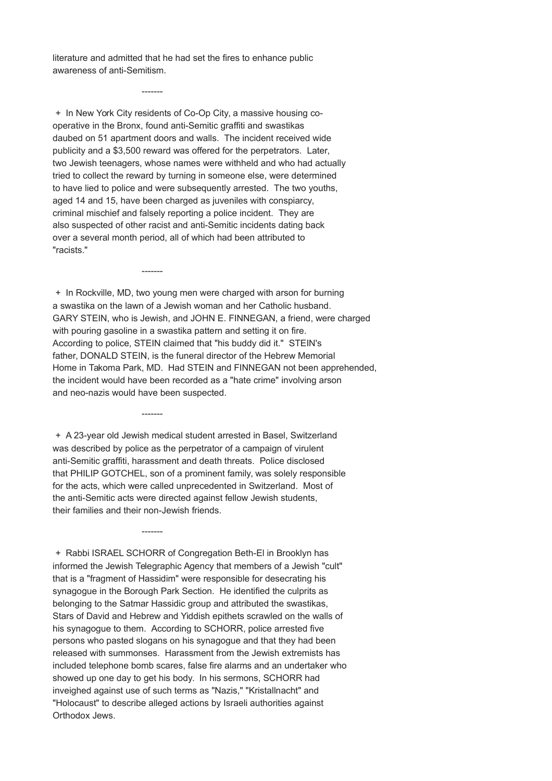literature and admitted that he had set the fires to enhance public awareness of anti-Semitism.

-------

-------

-------

-------

+ In New York City residents of Co-Op City, a massive housing cooperative in the Bronx, found anti-Semitic graffiti and swastikas daubed on 51 apartment doors and walls. The incident received wide publicity and a \$3,500 reward was offered for the perpetrators. Later, two Jewish teenagers, whose names were withheld and who had actually tried to collect the reward by turning in someone else, were determined to have lied to police and were subsequently arrested. The two youths, aged 14 and 15, have been charged as juveniles with conspiarcy, criminal mischief and falsely reporting a police incident. They are also suspected of other racist and anti-Semitic incidents dating back over a several month period, all of which had been attributed to "racists."

+ In Rockville, MD, two young men were charged with arson for burning a swastika on the lawn of a Jewish woman and her Catholic husband. GARY STEIN, who is Jewish, and JOHN E. FINNEGAN, a friend, were charged with pouring gasoline in a swastika pattern and setting it on fire. According to police, STEIN claimed that "his buddy did it." STEIN's father, DONALD STEIN, is the funeral director of the Hebrew Memorial Home in Takoma Park, MD. Had STEIN and FINNEGAN not been apprehended, the incident would have been recorded as a "hate crime" involving arson and neo-nazis would have been suspected.

+ A 23-year old Jewish medical student arrested in Basel, Switzerland was described by police as the perpetrator of a campaign of virulent anti-Semitic graffiti, harassment and death threats. Police disclosed that PHILIP GOTCHEL, son of a prominent family, was solely responsible for the acts, which were called unprecedented in Switzerland. Most of the anti-Semitic acts were directed against fellow Jewish students, their families and their non-Jewish friends.

+ Rabbi ISRAEL SCHORR of Congregation Beth-El in Brooklyn has informed the Jewish Telegraphic Agency that members of a Jewish "cult" that is a "fragment of Hassidim" were responsible for desecrating his synagogue in the Borough Park Section. He identified the culprits as belonging to the Satmar Hassidic group and attributed the swastikas, Stars of David and Hebrew and Yiddish epithets scrawled on the walls of his synagogue to them. According to SCHORR, police arrested five persons who pasted slogans on his synagogue and that they had been released with summonses. Harassment from the Jewish extremists has included telephone bomb scares, false fire alarms and an undertaker who showed up one day to get his body. In his sermons, SCHORR had inveighed against use of such terms as "Nazis," "Kristallnacht" and "Holocaust" to describe alleged actions by Israeli authorities against Orthodox Jews.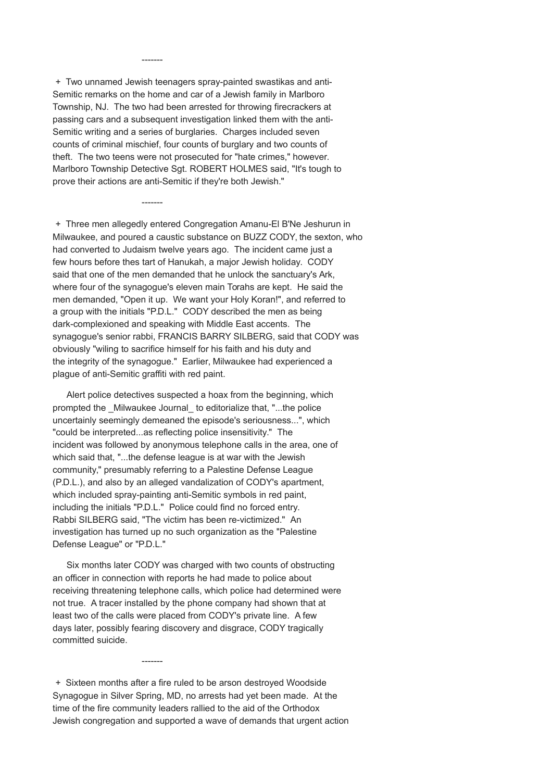+ Two unnamed Jewish teenagers spray-painted swastikas and anti-Semitic remarks on the home and car of a Jewish family in Marlboro Township, NJ. The two had been arrested for throwing firecrackers at passing cars and a subsequent investigation linked them with the anti-Semitic writing and a series of burglaries. Charges included seven counts of criminal mischief, four counts of burglary and two counts of theft. The two teens were not prosecuted for "hate crimes," however. Marlboro Township Detective Sgt. ROBERT HOLMES said, "It's tough to prove their actions are anti-Semitic if they're both Jewish."

-------

-------

+ Three men allegedly entered Congregation Amanu-El B'Ne Jeshurun in Milwaukee, and poured a caustic substance on BUZZ CODY, the sexton, who had converted to Judaism twelve years ago. The incident came just a few hours before thes tart of Hanukah, a major Jewish holiday. CODY said that one of the men demanded that he unlock the sanctuary's Ark, where four of the synagogue's eleven main Torahs are kept. He said the men demanded, "Open it up. We want your Holy Koran!", and referred to a group with the initials "P.D.L." CODY described the men as being dark-complexioned and speaking with Middle East accents. The synagogue's senior rabbi, FRANCIS BARRY SILBERG, said that CODY was obviously "wiling to sacrifice himself for his faith and his duty and the integrity of the synagogue." Earlier, Milwaukee had experienced a plague of anti-Semitic graffiti with red paint.

Alert police detectives suspected a hoax from the beginning, which prompted the \_Milwaukee Journal\_ to editorialize that, "...the police uncertainly seemingly demeaned the episode's seriousness...", which "could be interpreted...as reflecting police insensitivity." The incident was followed by anonymous telephone calls in the area, one of which said that, "...the defense league is at war with the Jewish community," presumably referring to a Palestine Defense League (P.D.L.), and also by an alleged vandalization of CODY's apartment, which included spray-painting anti-Semitic symbols in red paint, including the initials "P.D.L." Police could find no forced entry. Rabbi SILBERG said, "The victim has been re-victimized." An investigation has turned up no such organization as the "Palestine Defense League" or "P.D.L."

Six months later CODY was charged with two counts of obstructing an officer in connection with reports he had made to police about receiving threatening telephone calls, which police had determined were not true. A tracer installed by the phone company had shown that at least two of the calls were placed from CODY's private line. A few days later, possibly fearing discovery and disgrace, CODY tragically committed suicide.

-------

+ Sixteen months after a fire ruled to be arson destroyed Woodside Synagogue in Silver Spring, MD, no arrests had yet been made. At the time of the fire community leaders rallied to the aid of the Orthodox Jewish congregation and supported a wave of demands that urgent action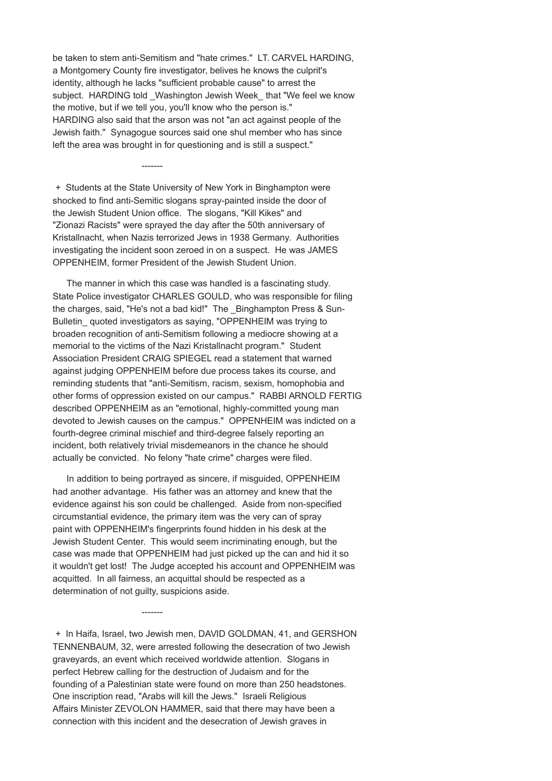be taken to stem anti-Semitism and "hate crimes." LT. CARVEL HARDING, a Montgomery County fire investigator, belives he knows the culprit's identity, although he lacks "sufficient probable cause" to arrest the subject. HARDING told Washington Jewish Week that "We feel we know the motive, but if we tell you, you'll know who the person is." HARDING also said that the arson was not "an act against people of the Jewish faith." Synagogue sources said one shul member who has since left the area was brought in for questioning and is still a suspect."

+ Students at the State University of New York in Binghampton were shocked to find anti-Semitic slogans spray-painted inside the door of the Jewish Student Union office. The slogans, "Kill Kikes" and "Zionazi Racists" were sprayed the day after the 50th anniversary of Kristallnacht, when Nazis terrorized Jews in 1938 Germany. Authorities investigating the incident soon zeroed in on a suspect. He was JAMES OPPENHEIM, former President of the Jewish Student Union.

-------

The manner in which this case was handled is a fascinating study. State Police investigator CHARLES GOULD, who was responsible for filing the charges, said, "He's not a bad kid!" The \_Binghampton Press & Sun-Bulletin\_ quoted investigators as saying, "OPPENHEIM was trying to broaden recognition of anti-Semitism following a mediocre showing at a memorial to the victims of the Nazi Kristallnacht program." Student Association President CRAIG SPIEGEL read a statement that warned against judging OPPENHEIM before due process takes its course, and reminding students that "anti-Semitism, racism, sexism, homophobia and other forms of oppression existed on our campus." RABBI ARNOLD FERTIG described OPPENHEIM as an "emotional, highly-committed young man devoted to Jewish causes on the campus." OPPENHEIM was indicted on a fourth-degree criminal mischief and third-degree falsely reporting an incident, both relatively trivial misdemeanors in the chance he should actually be convicted. No felony "hate crime" charges were filed.

In addition to being portrayed as sincere, if misguided, OPPENHEIM had another advantage. His father was an attorney and knew that the evidence against his son could be challenged. Aside from non-specified circumstantial evidence, the primary item was the very can of spray paint with OPPENHEIM's fingerprints found hidden in his desk at the Jewish Student Center. This would seem incriminating enough, but the case was made that OPPENHEIM had just picked up the can and hid it so it wouldn't get lost! The Judge accepted his account and OPPENHEIM was acquitted. In all fairness, an acquittal should be respected as a determination of not guilty, suspicions aside.

+ In Haifa, Israel, two Jewish men, DAVID GOLDMAN, 41, and GERSHON TENNENBAUM, 32, were arrested following the desecration of two Jewish graveyards, an event which received worldwide attention. Slogans in perfect Hebrew calling for the destruction of Judaism and for the founding of a Palestinian state were found on more than 250 headstones. One inscription read, "Arabs will kill the Jews." Israeli Religious Affairs Minister ZEVOLON HAMMER, said that there may have been a connection with this incident and the desecration of Jewish graves in

-------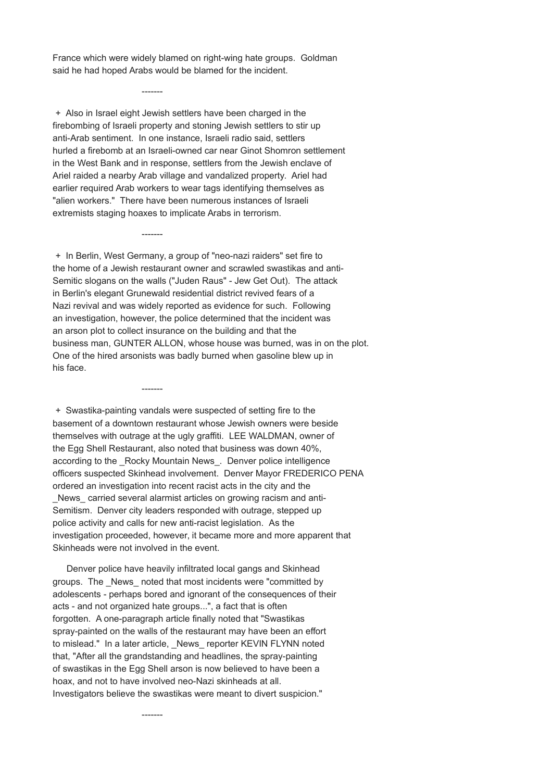France which were widely blamed on right-wing hate groups. Goldman said he had hoped Arabs would be blamed for the incident.

-------

-------

-------

+ Also in Israel eight Jewish settlers have been charged in the firebombing of Israeli property and stoning Jewish settlers to stir up anti-Arab sentiment. In one instance, Israeli radio said, settlers hurled a firebomb at an Israeli-owned car near Ginot Shomron settlement in the West Bank and in response, settlers from the Jewish enclave of Ariel raided a nearby Arab village and vandalized property. Ariel had earlier required Arab workers to wear tags identifying themselves as "alien workers." There have been numerous instances of Israeli extremists staging hoaxes to implicate Arabs in terrorism.

+ In Berlin, West Germany, a group of "neo-nazi raiders" set fire to the home of a Jewish restaurant owner and scrawled swastikas and anti-Semitic slogans on the walls ("Juden Raus" - Jew Get Out). The attack in Berlin's elegant Grunewald residential district revived fears of a Nazi revival and was widely reported as evidence for such. Following an investigation, however, the police determined that the incident was an arson plot to collect insurance on the building and that the business man, GUNTER ALLON, whose house was burned, was in on the plot. One of the hired arsonists was badly burned when gasoline blew up in his face.

+ Swastika-painting vandals were suspected of setting fire to the basement of a downtown restaurant whose Jewish owners were beside themselves with outrage at the ugly graffiti. LEE WALDMAN, owner of the Egg Shell Restaurant, also noted that business was down 40%, according to the Rocky Mountain News. Denver police intelligence officers suspected Skinhead involvement. Denver Mayor FREDERICO PENA ordered an investigation into recent racist acts in the city and the News carried several alarmist articles on growing racism and anti-Semitism. Denver city leaders responded with outrage, stepped up police activity and calls for new anti-racist legislation. As the investigation proceeded, however, it became more and more apparent that Skinheads were not involved in the event.

Denver police have heavily infiltrated local gangs and Skinhead groups. The \_News\_ noted that most incidents were "committed by adolescents - perhaps bored and ignorant of the consequences of their acts - and not organized hate groups...", a fact that is often forgotten. A one-paragraph article finally noted that "Swastikas spray-painted on the walls of the restaurant may have been an effort to mislead." In a later article, \_News\_ reporter KEVIN FLYNN noted that, "After all the grandstanding and headlines, the spray-painting of swastikas in the Egg Shell arson is now believed to have been a hoax, and not to have involved neo-Nazi skinheads at all. Investigators believe the swastikas were meant to divert suspicion."

-------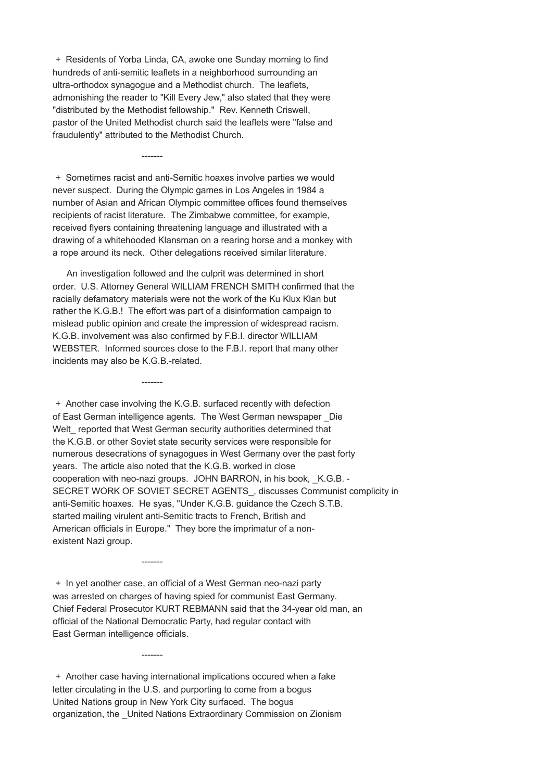+ Residents of Yorba Linda, CA, awoke one Sunday morning to find hundreds of anti-semitic leaflets in a neighborhood surrounding an ultra-orthodox synagogue and a Methodist church. The leaflets, admonishing the reader to "Kill Every Jew," also stated that they were "distributed by the Methodist fellowship." Rev. Kenneth Criswell, pastor of the United Methodist church said the leaflets were "false and fraudulently" attributed to the Methodist Church.

-------

-------

-------

-------

+ Sometimes racist and anti-Semitic hoaxes involve parties we would never suspect. During the Olympic games in Los Angeles in 1984 a number of Asian and African Olympic committee offices found themselves recipients of racist literature. The Zimbabwe committee, for example, received flyers containing threatening language and illustrated with a drawing of a whitehooded Klansman on a rearing horse and a monkey with a rope around its neck. Other delegations received similar literature.

An investigation followed and the culprit was determined in short order. U.S. Attorney General WILLIAM FRENCH SMITH confirmed that the racially defamatory materials were not the work of the Ku Klux Klan but rather the K.G.B.! The effort was part of a disinformation campaign to mislead public opinion and create the impression of widespread racism. K.G.B. involvement was also confirmed by F.B.I. director WILLIAM WEBSTER. Informed sources close to the F.B.I. report that many other incidents may also be K.G.B.-related.

+ Another case involving the K.G.B. surfaced recently with defection of East German intelligence agents. The West German newspaper \_Die Welt reported that West German security authorities determined that the K.G.B. or other Soviet state security services were responsible for numerous desecrations of synagogues in West Germany over the past forty years. The article also noted that the K.G.B. worked in close cooperation with neo-nazi groups. JOHN BARRON, in his book, K.G.B. -SECRET WORK OF SOVIET SECRET AGENTS\_, discusses Communist complicity in anti-Semitic hoaxes. He syas, "Under K.G.B. guidance the Czech S.T.B. started mailing virulent anti-Semitic tracts to French, British and American officials in Europe." They bore the imprimatur of a nonexistent Nazi group.

+ In yet another case, an official of a West German neo-nazi party was arrested on charges of having spied for communist East Germany. Chief Federal Prosecutor KURT REBMANN said that the 34-year old man, an official of the National Democratic Party, had regular contact with East German intelligence officials.

+ Another case having international implications occured when a fake letter circulating in the U.S. and purporting to come from a bogus United Nations group in New York City surfaced. The bogus organization, the \_United Nations Extraordinary Commission on Zionism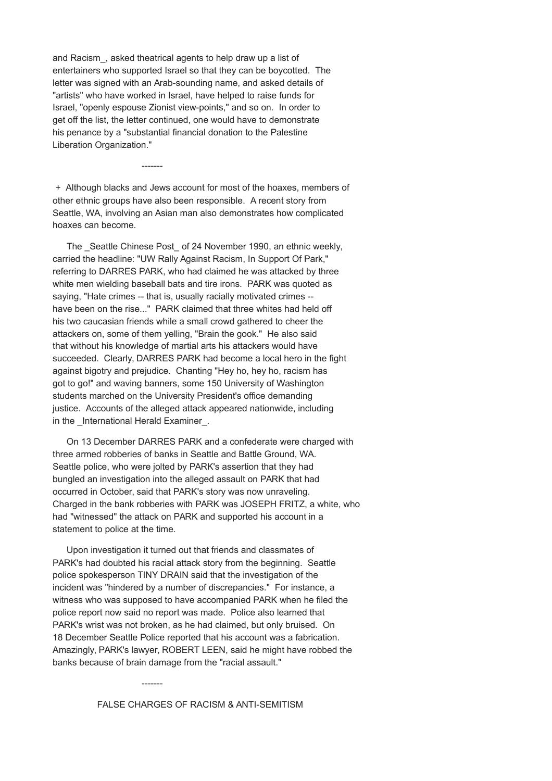and Racism\_, asked theatrical agents to help draw up a list of entertainers who supported Israel so that they can be boycotted. The letter was signed with an Arab-sounding name, and asked details of "artists" who have worked in Israel, have helped to raise funds for Israel, "openly espouse Zionist view-points," and so on. In order to get off the list, the letter continued, one would have to demonstrate his penance by a "substantial financial donation to the Palestine Liberation Organization."

-------

+ Although blacks and Jews account for most of the hoaxes, members of other ethnic groups have also been responsible. A recent story from Seattle, WA, involving an Asian man also demonstrates how complicated hoaxes can become.

The \_Seattle Chinese Post\_ of 24 November 1990, an ethnic weekly, carried the headline: "UW Rally Against Racism, In Support Of Park," referring to DARRES PARK, who had claimed he was attacked by three white men wielding baseball bats and tire irons. PARK was quoted as saying, "Hate crimes -- that is, usually racially motivated crimes - have been on the rise..." PARK claimed that three whites had held off his two caucasian friends while a small crowd gathered to cheer the attackers on, some of them yelling, "Brain the gook." He also said that without his knowledge of martial arts his attackers would have succeeded. Clearly, DARRES PARK had become a local hero in the fight against bigotry and prejudice. Chanting "Hey ho, hey ho, racism has got to go!" and waving banners, some 150 University of Washington students marched on the University President's office demanding justice. Accounts of the alleged attack appeared nationwide, including in the \_International Herald Examiner\_.

On 13 December DARRES PARK and a confederate were charged with three armed robberies of banks in Seattle and Battle Ground, WA. Seattle police, who were jolted by PARK's assertion that they had bungled an investigation into the alleged assault on PARK that had occurred in October, said that PARK's story was now unraveling. Charged in the bank robberies with PARK was JOSEPH FRITZ, a white, who had "witnessed" the attack on PARK and supported his account in a statement to police at the time.

Upon investigation it turned out that friends and classmates of PARK's had doubted his racial attack story from the beginning. Seattle police spokesperson TINY DRAIN said that the investigation of the incident was "hindered by a number of discrepancies." For instance, a witness who was supposed to have accompanied PARK when he filed the police report now said no report was made. Police also learned that PARK's wrist was not broken, as he had claimed, but only bruised. On 18 December Seattle Police reported that his account was a fabrication. Amazingly, PARK's lawyer, ROBERT LEEN, said he might have robbed the banks because of brain damage from the "racial assault."

-------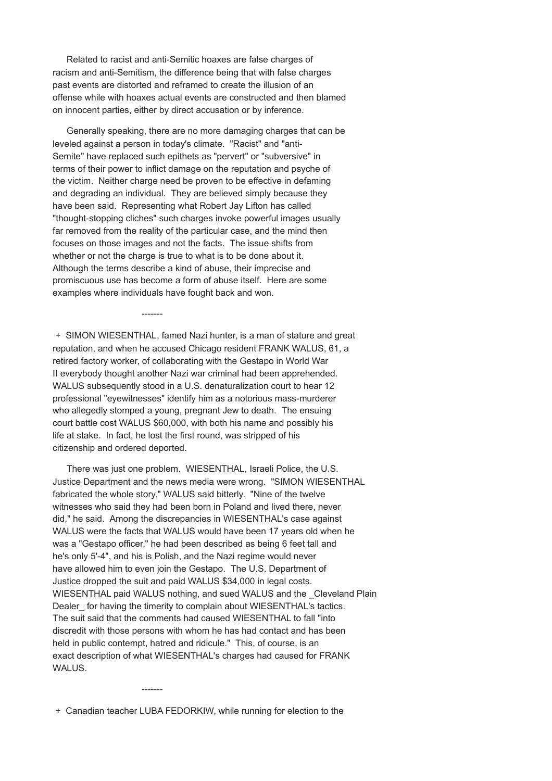Related to racist and anti-Semitic hoaxes are false charges of racism and anti-Semitism, the difference being that with false charges past events are distorted and reframed to create the illusion of an offense while with hoaxes actual events are constructed and then blamed on innocent parties, either by direct accusation or by inference.

Generally speaking, there are no more damaging charges that can be leveled against a person in today's climate. "Racist" and "anti-Semite" have replaced such epithets as "pervert" or "subversive" in terms of their power to inflict damage on the reputation and psyche of the victim. Neither charge need be proven to be effective in defaming and degrading an individual. They are believed simply because they have been said. Representing what Robert Jay Lifton has called "thought-stopping cliches" such charges invoke powerful images usually far removed from the reality of the particular case, and the mind then focuses on those images and not the facts. The issue shifts from whether or not the charge is true to what is to be done about it. Although the terms describe a kind of abuse, their imprecise and promiscuous use has become a form of abuse itself. Here are some examples where individuals have fought back and won.

-------

+ SIMON WIESENTHAL, famed Nazi hunter, is a man of stature and great reputation, and when he accused Chicago resident FRANK WALUS, 61, a retired factory worker, of collaborating with the Gestapo in World War II everybody thought another Nazi war criminal had been apprehended. WALUS subsequently stood in a U.S. denaturalization court to hear 12 professional "eyewitnesses" identify him as a notorious mass-murderer who allegedly stomped a young, pregnant Jew to death. The ensuing court battle cost WALUS \$60,000, with both his name and possibly his life at stake. In fact, he lost the first round, was stripped of his citizenship and ordered deported.

There was just one problem. WIESENTHAL, Israeli Police, the U.S. Justice Department and the news media were wrong. "SIMON WIESENTHAL fabricated the whole story," WALUS said bitterly. "Nine of the twelve witnesses who said they had been born in Poland and lived there, never did," he said. Among the discrepancies in WIESENTHAL's case against WALUS were the facts that WALUS would have been 17 years old when he was a "Gestapo officer," he had been described as being 6 feet tall and he's only 5'-4", and his is Polish, and the Nazi regime would never have allowed him to even join the Gestapo. The U.S. Department of Justice dropped the suit and paid WALUS \$34,000 in legal costs. WIESENTHAL paid WALUS nothing, and sued WALUS and the Cleveland Plain Dealer for having the timerity to complain about WIESENTHAL's tactics. The suit said that the comments had caused WIESENTHAL to fall "into discredit with those persons with whom he has had contact and has been held in public contempt, hatred and ridicule." This, of course, is an exact description of what WIESENTHAL's charges had caused for FRANK WALUS.

+ Canadian teacher LUBA FEDORKIW, while running for election to the

-------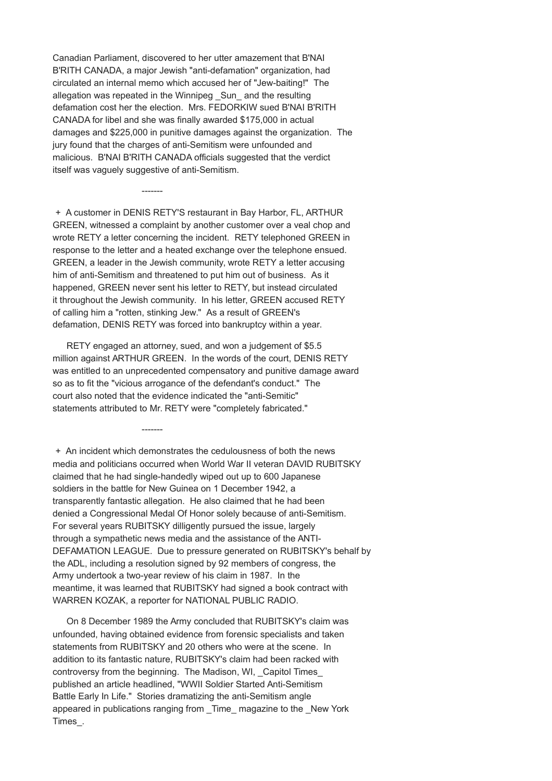Canadian Parliament, discovered to her utter amazement that B'NAI B'RITH CANADA, a major Jewish "anti-defamation" organization, had circulated an internal memo which accused her of "Jew-baiting!" The allegation was repeated in the Winnipeg Sun and the resulting defamation cost her the election. Mrs. FEDORKIW sued B'NAI B'RITH CANADA for libel and she was finally awarded \$175,000 in actual damages and \$225,000 in punitive damages against the organization. The jury found that the charges of anti-Semitism were unfounded and malicious. B'NAI B'RITH CANADA officials suggested that the verdict itself was vaguely suggestive of anti-Semitism.

+ A customer in DENIS RETY'S restaurant in Bay Harbor, FL, ARTHUR GREEN, witnessed a complaint by another customer over a veal chop and wrote RETY a letter concerning the incident. RETY telephoned GREEN in response to the letter and a heated exchange over the telephone ensued. GREEN, a leader in the Jewish community, wrote RETY a letter accusing him of anti-Semitism and threatened to put him out of business. As it happened, GREEN never sent his letter to RETY, but instead circulated it throughout the Jewish community. In his letter, GREEN accused RETY of calling him a "rotten, stinking Jew." As a result of GREEN's defamation, DENIS RETY was forced into bankruptcy within a year.

-------

-------

RETY engaged an attorney, sued, and won a judgement of \$5.5 million against ARTHUR GREEN. In the words of the court, DENIS RETY was entitled to an unprecedented compensatory and punitive damage award so as to fit the "vicious arrogance of the defendant's conduct." The court also noted that the evidence indicated the "anti-Semitic" statements attributed to Mr. RETY were "completely fabricated."

+ An incident which demonstrates the cedulousness of both the news media and politicians occurred when World War II veteran DAVID RUBITSKY claimed that he had single-handedly wiped out up to 600 Japanese soldiers in the battle for New Guinea on 1 December 1942, a transparently fantastic allegation. He also claimed that he had been denied a Congressional Medal Of Honor solely because of anti-Semitism. For several years RUBITSKY dilligently pursued the issue, largely through a sympathetic news media and the assistance of the ANTI-DEFAMATION LEAGUE. Due to pressure generated on RUBITSKY's behalf by the ADL, including a resolution signed by 92 members of congress, the Army undertook a two-year review of his claim in 1987. In the meantime, it was learned that RUBITSKY had signed a book contract with WARREN KOZAK, a reporter for NATIONAL PUBLIC RADIO.

On 8 December 1989 the Army concluded that RUBITSKY's claim was unfounded, having obtained evidence from forensic specialists and taken statements from RUBITSKY and 20 others who were at the scene. In addition to its fantastic nature, RUBITSKY's claim had been racked with controversy from the beginning. The Madison, WI, \_Capitol Times\_ published an article headlined, "WWII Soldier Started Anti-Semitism Battle Early In Life." Stories dramatizing the anti-Semitism angle appeared in publications ranging from \_Time \_magazine to the \_New York Times\_.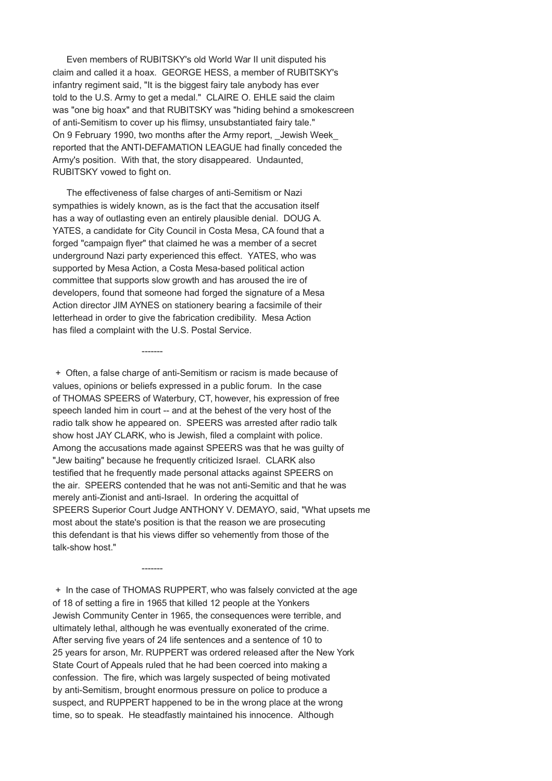Even members of RUBITSKY's old World War II unit disputed his claim and called it a hoax. GEORGE HESS, a member of RUBITSKY's infantry regiment said, "It is the biggest fairy tale anybody has ever told to the U.S. Army to get a medal." CLAIRE O. EHLE said the claim was "one big hoax" and that RUBITSKY was "hiding behind a smokescreen of anti-Semitism to cover up his flimsy, unsubstantiated fairy tale." On 9 February 1990, two months after the Army report, Jewish Week reported that the ANTI-DEFAMATION LEAGUE had finally conceded the Army's position. With that, the story disappeared. Undaunted, RUBITSKY vowed to fight on.

The effectiveness of false charges of anti-Semitism or Nazi sympathies is widely known, as is the fact that the accusation itself has a way of outlasting even an entirely plausible denial. DOUG A. YATES, a candidate for City Council in Costa Mesa, CA found that a forged "campaign flyer" that claimed he was a member of a secret underground Nazi party experienced this effect. YATES, who was supported by Mesa Action, a Costa Mesa-based political action committee that supports slow growth and has aroused the ire of developers, found that someone had forged the signature of a Mesa Action director JIM AYNES on stationery bearing a facsimile of their letterhead in order to give the fabrication credibility. Mesa Action has filed a complaint with the U.S. Postal Service.

-------

-------

+ Often, a false charge of anti-Semitism or racism is made because of values, opinions or beliefs expressed in a public forum. In the case of THOMAS SPEERS of Waterbury, CT, however, his expression of free speech landed him in court -- and at the behest of the very host of the radio talk show he appeared on. SPEERS was arrested after radio talk show host JAY CLARK, who is Jewish, filed a complaint with police. Among the accusations made against SPEERS was that he was guilty of "Jew baiting" because he frequently criticized Israel. CLARK also testified that he frequently made personal attacks against SPEERS on the air. SPEERS contended that he was not anti-Semitic and that he was merely anti-Zionist and anti-Israel. In ordering the acquittal of SPEERS Superior Court Judge ANTHONY V. DEMAYO, said, "What upsets me most about the state's position is that the reason we are prosecuting this defendant is that his views differ so vehemently from those of the talk-show host."

+ In the case of THOMAS RUPPERT, who was falsely convicted at the age of 18 of setting a fire in 1965 that killed 12 people at the Yonkers Jewish Community Center in 1965, the consequences were terrible, and ultimately lethal, although he was eventually exonerated of the crime. After serving five years of 24 life sentences and a sentence of 10 to 25 years for arson, Mr. RUPPERT was ordered released after the New York State Court of Appeals ruled that he had been coerced into making a confession. The fire, which was largely suspected of being motivated by anti-Semitism, brought enormous pressure on police to produce a suspect, and RUPPERT happened to be in the wrong place at the wrong time, so to speak. He steadfastly maintained his innocence. Although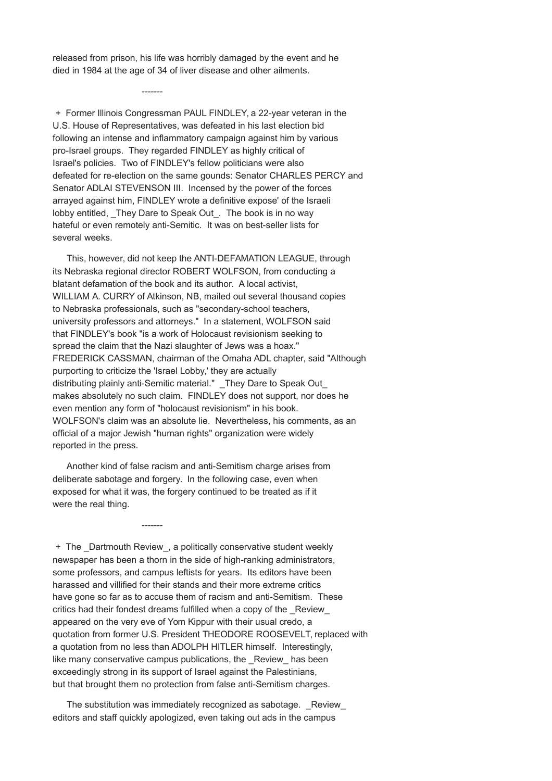released from prison, his life was horribly damaged by the event and he died in 1984 at the age of 34 of liver disease and other ailments.

-------

+ Former Illinois Congressman PAUL FINDLEY, a 22-year veteran in the U.S. House of Representatives, was defeated in his last election bid following an intense and inflammatory campaign against him by various pro-Israel groups. They regarded FINDLEY as highly critical of Israel's policies. Two of FINDLEY's fellow politicians were also defeated for re-election on the same gounds: Senator CHARLES PERCY and Senator ADLAI STEVENSON III. Incensed by the power of the forces arrayed against him, FINDLEY wrote a definitive expose' of the Israeli lobby entitled, \_They Dare to Speak Out\_. The book is in no way hateful or even remotely anti-Semitic. It was on best-seller lists for several weeks.

This, however, did not keep the ANTI-DEFAMATION LEAGUE, through its Nebraska regional director ROBERT WOLFSON, from conducting a blatant defamation of the book and its author. A local activist, WILLIAM A. CURRY of Atkinson, NB, mailed out several thousand copies to Nebraska professionals, such as "secondary-school teachers, university professors and attorneys." In a statement, WOLFSON said that FINDLEY's book "is a work of Holocaust revisionism seeking to spread the claim that the Nazi slaughter of Jews was a hoax." FREDERICK CASSMAN, chairman of the Omaha ADL chapter, said "Although purporting to criticize the 'Israel Lobby,' they are actually distributing plainly anti-Semitic material." They Dare to Speak Out makes absolutely no such claim. FINDLEY does not support, nor does he even mention any form of "holocaust revisionism" in his book. WOLFSON's claim was an absolute lie. Nevertheless, his comments, as an official of a major Jewish "human rights" organization were widely reported in the press.

Another kind of false racism and anti-Semitism charge arises from deliberate sabotage and forgery. In the following case, even when exposed for what it was, the forgery continued to be treated as if it were the real thing.

-------

+ The Dartmouth Review, a politically conservative student weekly newspaper has been a thorn in the side of high-ranking administrators, some professors, and campus leftists for years. Its editors have been harassed and villified for their stands and their more extreme critics have gone so far as to accuse them of racism and anti-Semitism. These critics had their fondest dreams fulfilled when a copy of the \_Review\_ appeared on the very eve of Yom Kippur with their usual credo, a quotation from former U.S. President THEODORE ROOSEVELT, replaced with a quotation from no less than ADOLPH HITLER himself. Interestingly, like many conservative campus publications, the \_Review\_ has been exceedingly strong in its support of Israel against the Palestinians, but that brought them no protection from false anti-Semitism charges.

The substitution was immediately recognized as sabotage. Review editors and staff quickly apologized, even taking out ads in the campus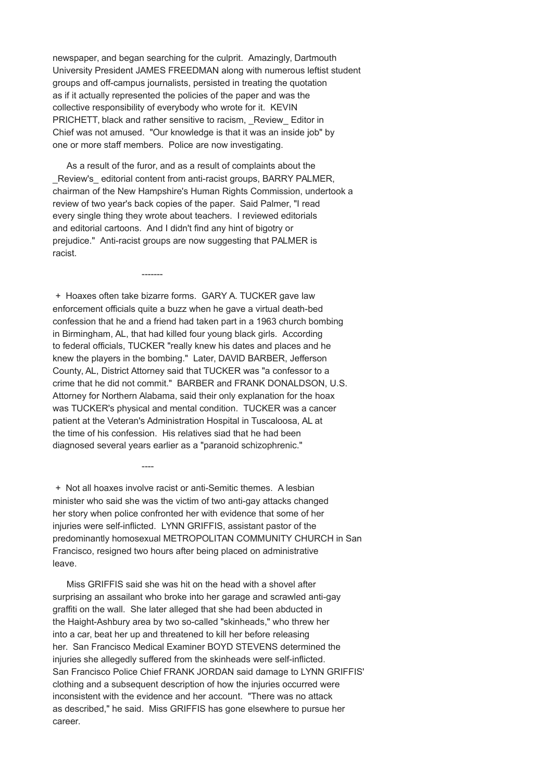newspaper, and began searching for the culprit. Amazingly, Dartmouth University President JAMES FREEDMAN along with numerous leftist student groups and off-campus journalists, persisted in treating the quotation as if it actually represented the policies of the paper and was the collective responsibility of everybody who wrote for it. KEVIN PRICHETT, black and rather sensitive to racism, \_Review\_ Editor in Chief was not amused. "Our knowledge is that it was an inside job" by one or more staff members. Police are now investigating.

As a result of the furor, and as a result of complaints about the Review's editorial content from anti-racist groups, BARRY PALMER, chairman of the New Hampshire's Human Rights Commission, undertook a review of two year's back copies of the paper. Said Palmer, "I read every single thing they wrote about teachers. I reviewed editorials and editorial cartoons. And I didn't find any hint of bigotry or prejudice." Anti-racist groups are now suggesting that PALMER is racist.

-------

----

+ Hoaxes often take bizarre forms. GARY A. TUCKER gave law enforcement officials quite a buzz when he gave a virtual death-bed confession that he and a friend had taken part in a 1963 church bombing in Birmingham, AL, that had killed four young black girls. According to federal officials, TUCKER "really knew his dates and places and he knew the players in the bombing." Later, DAVID BARBER, Jefferson County, AL, District Attorney said that TUCKER was "a confessor to a crime that he did not commit." BARBER and FRANK DONALDSON, U.S. Attorney for Northern Alabama, said their only explanation for the hoax was TUCKER's physical and mental condition. TUCKER was a cancer patient at the Veteran's Administration Hospital in Tuscaloosa, AL at the time of his confession. His relatives siad that he had been diagnosed several years earlier as a "paranoid schizophrenic."

+ Not all hoaxes involve racist or anti-Semitic themes. A lesbian minister who said she was the victim of two anti-gay attacks changed her story when police confronted her with evidence that some of her injuries were self-inflicted. LYNN GRIFFIS, assistant pastor of the predominantly homosexual METROPOLITAN COMMUNITY CHURCH in San Francisco, resigned two hours after being placed on administrative leave.

Miss GRIFFIS said she was hit on the head with a shovel after surprising an assailant who broke into her garage and scrawled anti-gay graffiti on the wall. She later alleged that she had been abducted in the Haight-Ashbury area by two so-called "skinheads," who threw her into a car, beat her up and threatened to kill her before releasing her. San Francisco Medical Examiner BOYD STEVENS determined the injuries she allegedly suffered from the skinheads were self-inflicted. San Francisco Police Chief FRANK JORDAN said damage to LYNN GRIFFIS' clothing and a subsequent description of how the injuries occurred were inconsistent with the evidence and her account. "There was no attack as described," he said. Miss GRIFFIS has gone elsewhere to pursue her career.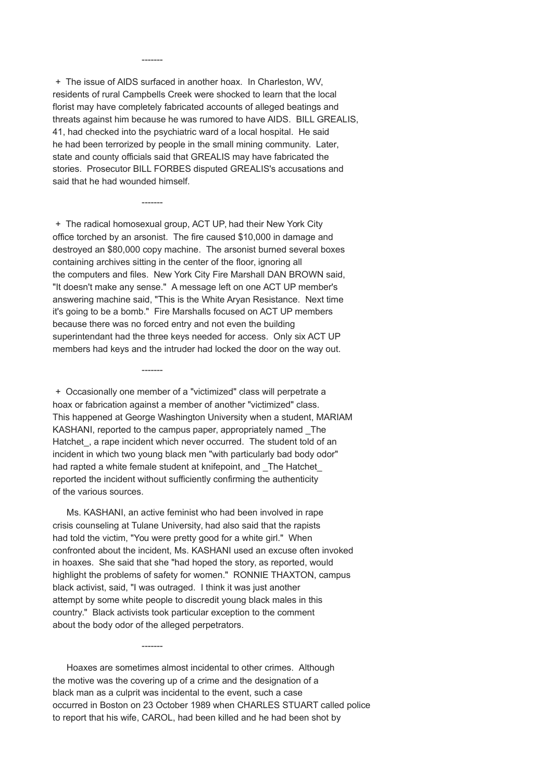+ The issue of AIDS surfaced in another hoax. In Charleston, WV, residents of rural Campbells Creek were shocked to learn that the local florist may have completely fabricated accounts of alleged beatings and threats against him because he was rumored to have AIDS. BILL GREALIS, 41, had checked into the psychiatric ward of a local hospital. He said he had been terrorized by people in the small mining community. Later, state and county officials said that GREALIS may have fabricated the stories. Prosecutor BILL FORBES disputed GREALIS's accusations and said that he had wounded himself.

-------

-------

-------

-------

+ The radical homosexual group, ACT UP, had their New York City office torched by an arsonist. The fire caused \$10,000 in damage and destroyed an \$80,000 copy machine. The arsonist burned several boxes containing archives sitting in the center of the floor, ignoring all the computers and files. New York City Fire Marshall DAN BROWN said, "It doesn't make any sense." A message left on one ACT UP member's answering machine said, "This is the White Aryan Resistance. Next time it's going to be a bomb." Fire Marshalls focused on ACT UP members because there was no forced entry and not even the building superintendant had the three keys needed for access. Only six ACT UP members had keys and the intruder had locked the door on the way out.

+ Occasionally one member of a "victimized" class will perpetrate a hoax or fabrication against a member of another "victimized" class. This happened at George Washington University when a student, MARIAM KASHANI, reported to the campus paper, appropriately named \_The Hatchet, a rape incident which never occurred. The student told of an incident in which two young black men "with particularly bad body odor" had rapted a white female student at knifepoint, and The Hatchet reported the incident without sufficiently confirming the authenticity of the various sources.

Ms. KASHANI, an active feminist who had been involved in rape crisis counseling at Tulane University, had also said that the rapists had told the victim, "You were pretty good for a white girl." When confronted about the incident, Ms. KASHANI used an excuse often invoked in hoaxes. She said that she "had hoped the story, as reported, would highlight the problems of safety for women." RONNIE THAXTON, campus black activist, said, "I was outraged. I think it was just another attempt by some white people to discredit young black males in this country." Black activists took particular exception to the comment about the body odor of the alleged perpetrators.

Hoaxes are sometimes almost incidental to other crimes. Although the motive was the covering up of a crime and the designation of a black man as a culprit was incidental to the event, such a case occurred in Boston on 23 October 1989 when CHARLES STUART called police to report that his wife, CAROL, had been killed and he had been shot by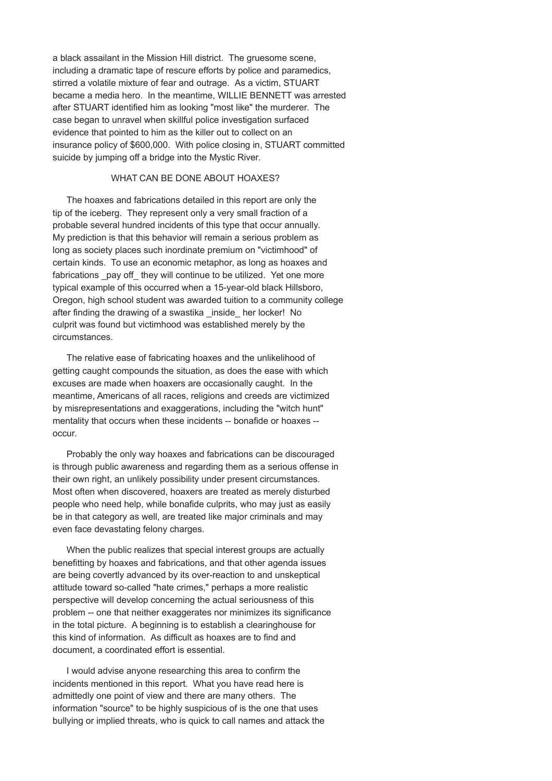a black assailant in the Mission Hill district. The gruesome scene, including a dramatic tape of rescure efforts by police and paramedics, stirred a volatile mixture of fear and outrage. As a victim, STUART became a media hero. In the meantime, WILLIE BENNETT was arrested after STUART identified him as looking "most like" the murderer. The case began to unravel when skillful police investigation surfaced evidence that pointed to him as the killer out to collect on an insurance policy of \$600,000. With police closing in, STUART committed suicide by jumping off a bridge into the Mystic River.

# WHAT CAN BE DONE ABOUT HOAXES?

The hoaxes and fabrications detailed in this report are only the tip of the iceberg. They represent only a very small fraction of a probable several hundred incidents of this type that occur annually. My prediction is that this behavior will remain a serious problem as long as society places such inordinate premium on "victimhood" of certain kinds. To use an economic metaphor, as long as hoaxes and fabrications pay off they will continue to be utilized. Yet one more typical example of this occurred when a 15-year-old black Hillsboro, Oregon, high school student was awarded tuition to a community college after finding the drawing of a swastika \_inside\_ her locker! No culprit was found but victimhood was established merely by the circumstances.

The relative ease of fabricating hoaxes and the unlikelihood of getting caught compounds the situation, as does the ease with which excuses are made when hoaxers are occasionally caught. In the meantime, Americans of all races, religions and creeds are victimized by misrepresentations and exaggerations, including the "witch hunt" mentality that occurs when these incidents -- bonafide or hoaxes - occur.

Probably the only way hoaxes and fabrications can be discouraged is through public awareness and regarding them as a serious offense in their own right, an unlikely possibility under present circumstances. Most often when discovered, hoaxers are treated as merely disturbed people who need help, while bonafide culprits, who may just as easily be in that category as well, are treated like major criminals and may even face devastating felony charges.

When the public realizes that special interest groups are actually benefitting by hoaxes and fabrications, and that other agenda issues are being covertly advanced by its over-reaction to and unskeptical attitude toward so-called "hate crimes," perhaps a more realistic perspective will develop concerning the actual seriousness of this problem -- one that neither exaggerates nor minimizes its significance in the total picture. A beginning is to establish a clearinghouse for this kind of information. As difficult as hoaxes are to find and document, a coordinated effort is essential.

I would advise anyone researching this area to confirm the incidents mentioned in this report. What you have read here is admittedly one point of view and there are many others. The information "source" to be highly suspicious of is the one that uses bullying or implied threats, who is quick to call names and attack the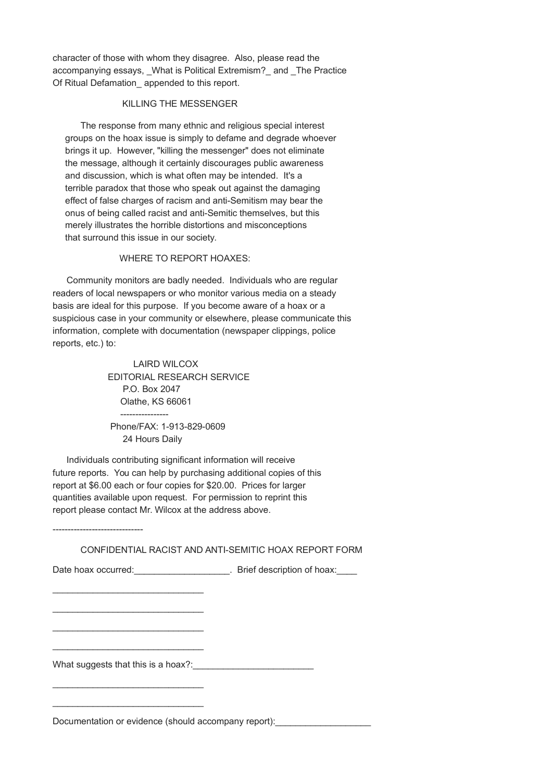character of those with whom they disagree. Also, please read the accompanying essays, What is Political Extremism? and The Practice Of Ritual Defamation\_ appended to this report.

### KILLING THE MESSENGER

The response from many ethnic and religious special interest groups on the hoax issue is simply to defame and degrade whoever brings it up. However, "killing the messenger" does not eliminate the message, although it certainly discourages public awareness and discussion, which is what often may be intended. It's a terrible paradox that those who speak out against the damaging effect of false charges of racism and anti-Semitism may bear the onus of being called racist and anti-Semitic themselves, but this merely illustrates the horrible distortions and misconceptions that surround this issue in our society.

WHERE TO REPORT HOAXES:

Community monitors are badly needed. Individuals who are regular readers of local newspapers or who monitor various media on a steady basis are ideal for this purpose. If you become aware of a hoax or a suspicious case in your community or elsewhere, please communicate this information, complete with documentation (newspaper clippings, police reports, etc.) to:

> LAIRD WILCOX EDITORIAL RESEARCH SERVICE P.O. Box 2047 Olathe, KS 66061 ---------------- Phone/FAX: 1-913-829-0609 24 Hours Daily

Individuals contributing significant information will receive future reports. You can help by purchasing additional copies of this report at \$6.00 each or four copies for \$20.00. Prices for larger quantities available upon request. For permission to reprint this report please contact Mr. Wilcox at the address above.

------------------------------

### CONFIDENTIAL RACIST AND ANTI-SEMITIC HOAX REPORT FORM

Date hoax occurred: \_\_\_\_\_\_\_\_\_\_\_\_\_\_\_\_\_\_\_\_\_. Brief description of hoax: \_\_\_\_

What suggests that this is a hoax?:

\_\_\_\_\_\_\_\_\_\_\_\_\_\_\_\_\_\_\_\_\_\_\_\_\_\_\_\_\_\_

\_\_\_\_\_\_\_\_\_\_\_\_\_\_\_\_\_\_\_\_\_\_\_\_\_\_\_\_\_\_

\_\_\_\_\_\_\_\_\_\_\_\_\_\_\_\_\_\_\_\_\_\_\_\_\_\_\_\_\_\_

\_\_\_\_\_\_\_\_\_\_\_\_\_\_\_\_\_\_\_\_\_\_\_\_\_\_\_\_\_\_

\_\_\_\_\_\_\_\_\_\_\_\_\_\_\_\_\_\_\_\_\_\_\_\_\_\_\_\_\_\_

\_\_\_\_\_\_\_\_\_\_\_\_\_\_\_\_\_\_\_\_\_\_\_\_\_\_\_\_\_\_

Documentation or evidence (should accompany report): \_\_\_\_\_\_\_\_\_\_\_\_\_\_\_\_\_\_\_\_\_\_\_\_\_\_\_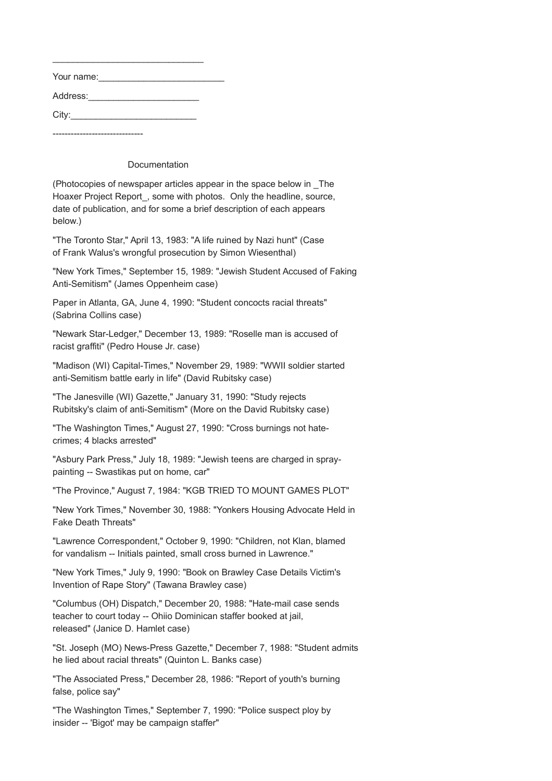| Your name:                                                                                                                                                                                                                     |  |
|--------------------------------------------------------------------------------------------------------------------------------------------------------------------------------------------------------------------------------|--|
| Address:                                                                                                                                                                                                                       |  |
| City: the contract of the contract of the contract of the contract of the contract of the contract of the contract of the contract of the contract of the contract of the contract of the contract of the contract of the cont |  |
|                                                                                                                                                                                                                                |  |

\_\_\_\_\_\_\_\_\_\_\_\_\_\_\_\_\_\_\_\_\_\_\_\_\_\_\_\_\_\_

# **Documentation**

(Photocopies of newspaper articles appear in the space below in \_The Hoaxer Project Report\_, some with photos. Only the headline, source, date of publication, and for some a brief description of each appears below.)

"The Toronto Star," April 13, 1983: "A life ruined by Nazi hunt" (Case of Frank Walus's wrongful prosecution by Simon Wiesenthal)

"New York Times," September 15, 1989: "Jewish Student Accused of Faking Anti-Semitism" (James Oppenheim case)

Paper in Atlanta, GA, June 4, 1990: "Student concocts racial threats" (Sabrina Collins case)

"Newark Star-Ledger," December 13, 1989: "Roselle man is accused of racist graffiti" (Pedro House Jr. case)

"Madison (WI) Capital-Times," November 29, 1989: "WWII soldier started anti-Semitism battle early in life" (David Rubitsky case)

"The Janesville (WI) Gazette," January 31, 1990: "Study rejects Rubitsky's claim of anti-Semitism" (More on the David Rubitsky case)

"The Washington Times," August 27, 1990: "Cross burnings not hatecrimes; 4 blacks arrested"

"Asbury Park Press," July 18, 1989: "Jewish teens are charged in spraypainting -- Swastikas put on home, car"

"The Province," August 7, 1984: "KGB TRIED TO MOUNT GAMES PLOT"

"New York Times," November 30, 1988: "Yonkers Housing Advocate Held in Fake Death Threats"

"Lawrence Correspondent," October 9, 1990: "Children, not Klan, blamed for vandalism -- Initials painted, small cross burned in Lawrence."

"New York Times," July 9, 1990: "Book on Brawley Case Details Victim's Invention of Rape Story" (Tawana Brawley case)

"Columbus (OH) Dispatch," December 20, 1988: "Hate-mail case sends teacher to court today -- Ohiio Dominican staffer booked at jail, released" (Janice D. Hamlet case)

"St. Joseph (MO) News-Press Gazette," December 7, 1988: "Student admits he lied about racial threats" (Quinton L. Banks case)

"The Associated Press," December 28, 1986: "Report of youth's burning false, police say"

"The Washington Times," September 7, 1990: "Police suspect ploy by insider -- 'Bigot' may be campaign staffer"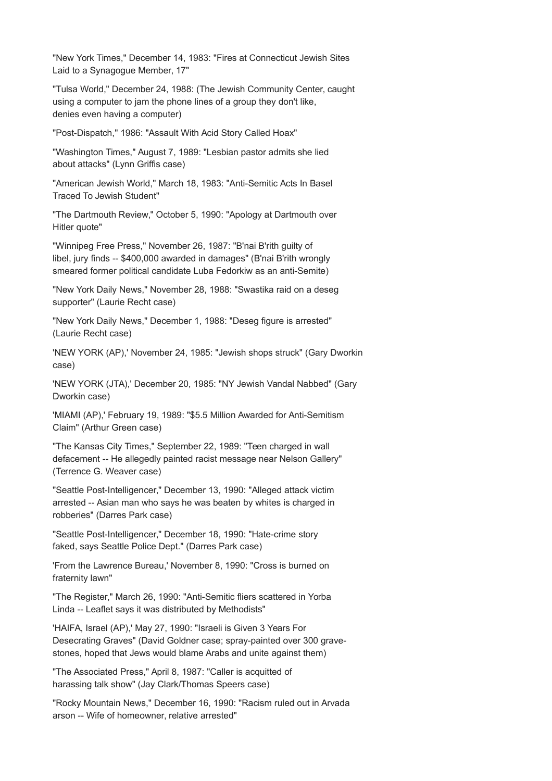"New York Times," December 14, 1983: "Fires at Connecticut Jewish Sites Laid to a Synagogue Member, 17"

"Tulsa World," December 24, 1988: (The Jewish Community Center, caught using a computer to jam the phone lines of a group they don't like, denies even having a computer)

"Post-Dispatch," 1986: "Assault With Acid Story Called Hoax"

"Washington Times," August 7, 1989: "Lesbian pastor admits she lied about attacks" (Lynn Griffis case)

"American Jewish World," March 18, 1983: "Anti-Semitic Acts In Basel Traced To Jewish Student"

"The Dartmouth Review," October 5, 1990: "Apology at Dartmouth over Hitler quote"

"Winnipeg Free Press," November 26, 1987: "B'nai B'rith guilty of libel, jury finds -- \$400,000 awarded in damages" (B'nai B'rith wrongly smeared former political candidate Luba Fedorkiw as an anti-Semite)

"New York Daily News," November 28, 1988: "Swastika raid on a deseg supporter" (Laurie Recht case)

"New York Daily News," December 1, 1988: "Deseg figure is arrested" (Laurie Recht case)

'NEW YORK (AP),' November 24, 1985: "Jewish shops struck" (Gary Dworkin case)

'NEW YORK (JTA),' December 20, 1985: "NY Jewish Vandal Nabbed" (Gary Dworkin case)

'MIAMI (AP),' February 19, 1989: "\$5.5 Million Awarded for Anti-Semitism Claim" (Arthur Green case)

"The Kansas City Times," September 22, 1989: "Teen charged in wall defacement -- He allegedly painted racist message near Nelson Gallery" (Terrence G. Weaver case)

"Seattle Post-Intelligencer," December 13, 1990: "Alleged attack victim arrested -- Asian man who says he was beaten by whites is charged in robberies" (Darres Park case)

"Seattle Post-Intelligencer," December 18, 1990: "Hate-crime story faked, says Seattle Police Dept." (Darres Park case)

'From the Lawrence Bureau,' November 8, 1990: "Cross is burned on fraternity lawn"

"The Register," March 26, 1990: "Anti-Semitic fliers scattered in Yorba Linda -- Leaflet says it was distributed by Methodists"

'HAIFA, Israel (AP),' May 27, 1990: "Israeli is Given 3 Years For Desecrating Graves" (David Goldner case; spray-painted over 300 gravestones, hoped that Jews would blame Arabs and unite against them)

"The Associated Press," April 8, 1987: "Caller is acquitted of harassing talk show" (Jay Clark/Thomas Speers case)

"Rocky Mountain News," December 16, 1990: "Racism ruled out in Arvada arson -- Wife of homeowner, relative arrested"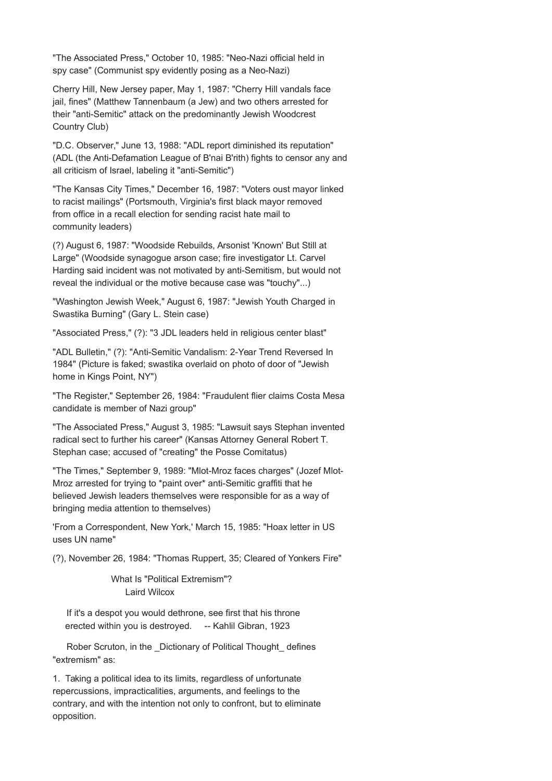"The Associated Press," October 10, 1985: "Neo-Nazi official held in spy case" (Communist spy evidently posing as a Neo-Nazi)

Cherry Hill, New Jersey paper, May 1, 1987: "Cherry Hill vandals face jail, fines" (Matthew Tannenbaum (a Jew) and two others arrested for their "anti-Semitic" attack on the predominantly Jewish Woodcrest Country Club)

"D.C. Observer," June 13, 1988: "ADL report diminished its reputation" (ADL (the Anti-Defamation League of B'nai B'rith) fights to censor any and all criticism of Israel, labeling it "anti-Semitic")

"The Kansas City Times," December 16, 1987: "Voters oust mayor linked to racist mailings" (Portsmouth, Virginia's first black mayor removed from office in a recall election for sending racist hate mail to community leaders)

(?) August 6, 1987: "Woodside Rebuilds, Arsonist 'Known' But Still at Large" (Woodside synagogue arson case; fire investigator Lt. Carvel Harding said incident was not motivated by anti-Semitism, but would not reveal the individual or the motive because case was "touchy"...)

"Washington Jewish Week," August 6, 1987: "Jewish Youth Charged in Swastika Burning" (Gary L. Stein case)

"Associated Press," (?): "3 JDL leaders held in religious center blast"

"ADL Bulletin," (?): "Anti-Semitic Vandalism: 2-Year Trend Reversed In 1984" (Picture is faked; swastika overlaid on photo of door of "Jewish home in Kings Point, NY")

"The Register," September 26, 1984: "Fraudulent flier claims Costa Mesa candidate is member of Nazi group"

"The Associated Press," August 3, 1985: "Lawsuit says Stephan invented radical sect to further his career" (Kansas Attorney General Robert T. Stephan case; accused of "creating" the Posse Comitatus)

"The Times," September 9, 1989: "Mlot-Mroz faces charges" (Jozef Mlot-Mroz arrested for trying to \*paint over\* anti-Semitic graffiti that he believed Jewish leaders themselves were responsible for as a way of bringing media attention to themselves)

'From a Correspondent, New York,' March 15, 1985: "Hoax letter in US uses UN name"

(?), November 26, 1984: "Thomas Ruppert, 35; Cleared of Yonkers Fire"

What Is "Political Extremism"? Laird Wilcox

If it's a despot you would dethrone, see first that his throne erected within you is destroyed. -- Kahlil Gibran, 1923

Rober Scruton, in the Dictionary of Political Thought defines "extremism" as:

1. Taking a political idea to its limits, regardless of unfortunate repercussions, impracticalities, arguments, and feelings to the contrary, and with the intention not only to confront, but to eliminate opposition.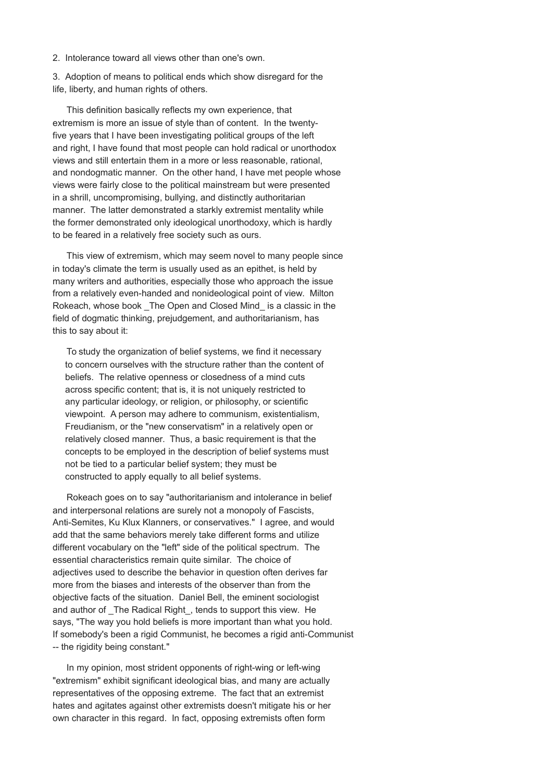2. Intolerance toward all views other than one's own.

3. Adoption of means to political ends which show disregard for the life, liberty, and human rights of others.

This definition basically reflects my own experience, that extremism is more an issue of style than of content. In the twentyfive years that I have been investigating political groups of the left and right, I have found that most people can hold radical or unorthodox views and still entertain them in a more or less reasonable, rational, and nondogmatic manner. On the other hand, I have met people whose views were fairly close to the political mainstream but were presented in a shrill, uncompromising, bullying, and distinctly authoritarian manner. The latter demonstrated a starkly extremist mentality while the former demonstrated only ideological unorthodoxy, which is hardly to be feared in a relatively free society such as ours.

This view of extremism, which may seem novel to many people since in today's climate the term is usually used as an epithet, is held by many writers and authorities, especially those who approach the issue from a relatively even-handed and nonideological point of view. Milton Rokeach, whose book \_The Open and Closed Mind\_ is a classic in the field of dogmatic thinking, prejudgement, and authoritarianism, has this to say about it:

To study the organization of belief systems, we find it necessary to concern ourselves with the structure rather than the content of beliefs. The relative openness or closedness of a mind cuts across specific content; that is, it is not uniquely restricted to any particular ideology, or religion, or philosophy, or scientific viewpoint. A person may adhere to communism, existentialism, Freudianism, or the "new conservatism" in a relatively open or relatively closed manner. Thus, a basic requirement is that the concepts to be employed in the description of belief systems must not be tied to a particular belief system; they must be constructed to apply equally to all belief systems.

Rokeach goes on to say "authoritarianism and intolerance in belief and interpersonal relations are surely not a monopoly of Fascists, Anti-Semites, Ku Klux Klanners, or conservatives." I agree, and would add that the same behaviors merely take different forms and utilize different vocabulary on the "left" side of the political spectrum. The essential characteristics remain quite similar. The choice of adjectives used to describe the behavior in question often derives far more from the biases and interests of the observer than from the objective facts of the situation. Daniel Bell, the eminent sociologist and author of \_The Radical Right\_, tends to support this view. He says, "The way you hold beliefs is more important than what you hold. If somebody's been a rigid Communist, he becomes a rigid anti-Communist -- the rigidity being constant."

In my opinion, most strident opponents of right-wing or left-wing "extremism" exhibit significant ideological bias, and many are actually representatives of the opposing extreme. The fact that an extremist hates and agitates against other extremists doesn't mitigate his or her own character in this regard. In fact, opposing extremists often form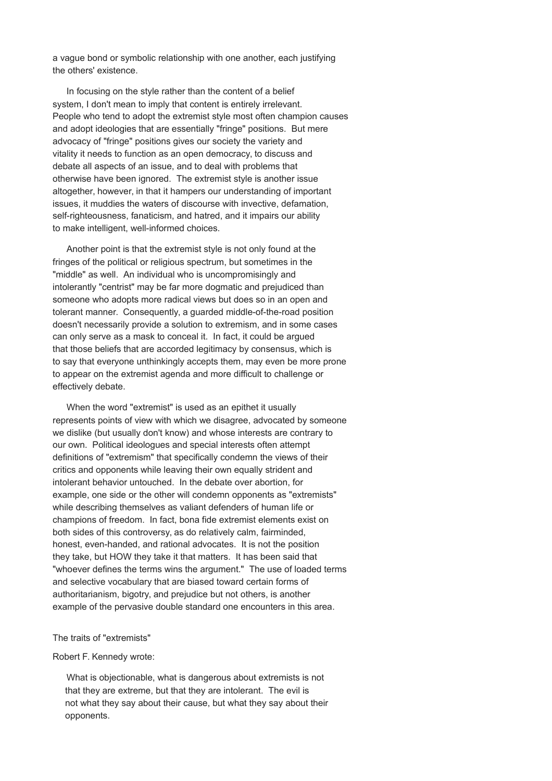a vague bond or symbolic relationship with one another, each justifying the others' existence.

In focusing on the style rather than the content of a belief system, I don't mean to imply that content is entirely irrelevant. People who tend to adopt the extremist style most often champion causes and adopt ideologies that are essentially "fringe" positions. But mere advocacy of "fringe" positions gives our society the variety and vitality it needs to function as an open democracy, to discuss and debate all aspects of an issue, and to deal with problems that otherwise have been ignored. The extremist style is another issue altogether, however, in that it hampers our understanding of important issues, it muddies the waters of discourse with invective, defamation, self-righteousness, fanaticism, and hatred, and it impairs our ability to make intelligent, well-informed choices.

Another point is that the extremist style is not only found at the fringes of the political or religious spectrum, but sometimes in the "middle" as well. An individual who is uncompromisingly and intolerantly "centrist" may be far more dogmatic and prejudiced than someone who adopts more radical views but does so in an open and tolerant manner. Consequently, a guarded middle-of-the-road position doesn't necessarily provide a solution to extremism, and in some cases can only serve as a mask to conceal it. In fact, it could be argued that those beliefs that are accorded legitimacy by consensus, which is to say that everyone unthinkingly accepts them, may even be more prone to appear on the extremist agenda and more difficult to challenge or effectively debate.

When the word "extremist" is used as an epithet it usually represents points of view with which we disagree, advocated by someone we dislike (but usually don't know) and whose interests are contrary to our own. Political ideologues and special interests often attempt definitions of "extremism" that specifically condemn the views of their critics and opponents while leaving their own equally strident and intolerant behavior untouched. In the debate over abortion, for example, one side or the other will condemn opponents as "extremists" while describing themselves as valiant defenders of human life or champions of freedom. In fact, bona fide extremist elements exist on both sides of this controversy, as do relatively calm, fairminded, honest, even-handed, and rational advocates. It is not the position they take, but HOW they take it that matters. It has been said that "whoever defines the terms wins the argument." The use of loaded terms and selective vocabulary that are biased toward certain forms of authoritarianism, bigotry, and prejudice but not others, is another example of the pervasive double standard one encounters in this area.

### The traits of "extremists"

### Robert F. Kennedy wrote:

What is objectionable, what is dangerous about extremists is not that they are extreme, but that they are intolerant. The evil is not what they say about their cause, but what they say about their opponents.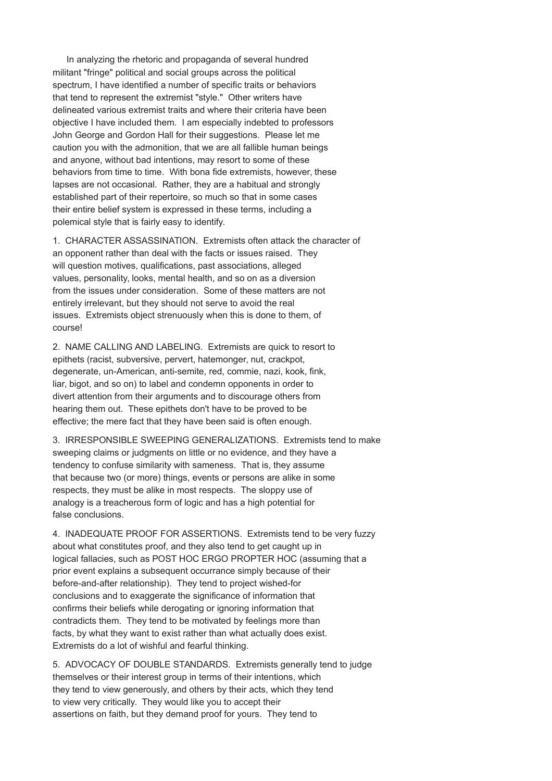In analyzing the rhetoric and propaganda of several hundred militant "fringe" political and social groups across the political spectrum, I have identified a number of specific traits or behaviors that tend to represent the extremist "style." Other writers have delineated various extremist traits and where their criteria have been objective I have included them. I am especially indebted to professors John George and Gordon Hall for their suggestions. Please let me caution you with the admonition, that we are all fallible human beings and anyone, without bad intentions, may resort to some of these behaviors from time to time. With bona fide extremists, however, these lapses are not occasional. Rather, they are a habitual and strongly established part of their repertoire, so much so that in some cases their entire belief system is expressed in these terms, including a polemical style that is fairly easy to identify.

1. CHARACTER ASSASSINATION. Extremists often attack the character of an opponent rather than deal with the facts or issues raised. They will question motives, qualifications, past associations, alleged values, personality, looks, mental health, and so on as a diversion from the issues under consideration. Some of these matters are not entirely irrelevant, but they should not serve to avoid the real issues. Extremists object strenuously when this is done to them, of course!

2. NAME CALLING AND LABELING. Extremists are quick to resort to epithets (racist, subversive, pervert, hatemonger, nut, crackpot, degenerate, un-American, anti-semite, red, commie, nazi, kook, fink, liar, bigot, and so on) to label and condemn opponents in order to divert attention from their arguments and to discourage others from hearing them out. These epithets don't have to be proved to be effective; the mere fact that they have been said is often enough.

3. IRRESPONSIBLE SWEEPING GENERALIZATIONS. Extremists tend to make sweeping claims or judgments on little or no evidence, and they have a tendency to confuse similarity with sameness. That is, they assume that because two (or more) things, events or persons are alike in some respects, they must be alike in most respects. The sloppy use of analogy is a treacherous form of logic and has a high potential for false conclusions.

4. INADEQUATE PROOF FOR ASSERTIONS. Extremists tend to be very fuzzy about what constitutes proof, and they also tend to get caught up in logical fallacies, such as POST HOC ERGO PROPTER HOC (assuming that a prior event explains a subsequent occurrance simply because of their before-and-after relationship). They tend to project wished-for conclusions and to exaggerate the significance of information that confirms their beliefs while derogating or ignoring information that contradicts them. They tend to be motivated by feelings more than facts, by what they want to exist rather than what actually does exist. Extremists do a lot of wishful and fearful thinking.

5. ADVOCACY OF DOUBLE STANDARDS. Extremists generally tend to judge themselves or their interest group in terms of their intentions, which they tend to view generously, and others by their acts, which they tend to view very critically. They would like you to accept their assertions on faith, but they demand proof for yours. They tend to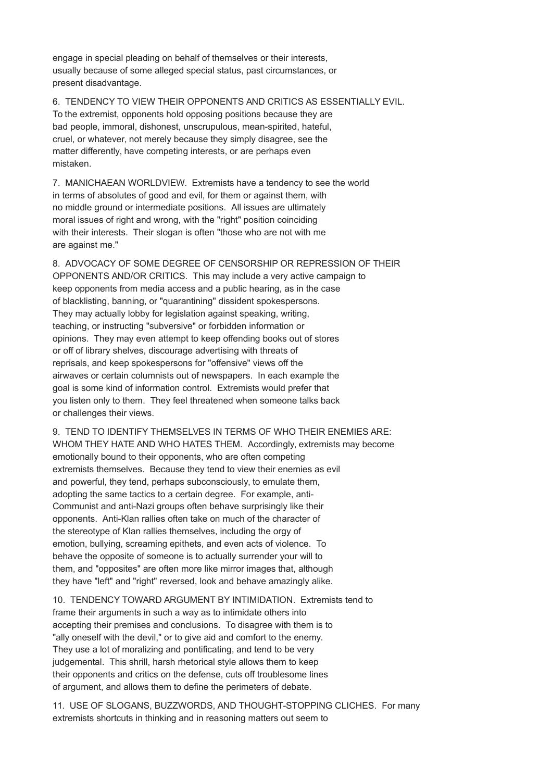engage in special pleading on behalf of themselves or their interests, usually because of some alleged special status, past circumstances, or present disadvantage.

6. TENDENCY TO VIEW THEIR OPPONENTS AND CRITICS AS ESSENTIALLY EVIL. To the extremist, opponents hold opposing positions because they are bad people, immoral, dishonest, unscrupulous, mean-spirited, hateful, cruel, or whatever, not merely because they simply disagree, see the matter differently, have competing interests, or are perhaps even mistaken.

7. MANICHAEAN WORLDVIEW. Extremists have a tendency to see the world in terms of absolutes of good and evil, for them or against them, with no middle ground or intermediate positions. All issues are ultimately moral issues of right and wrong, with the "right" position coinciding with their interests. Their slogan is often "those who are not with me are against me."

8. ADVOCACY OF SOME DEGREE OF CENSORSHIP OR REPRESSION OF THEIR OPPONENTS AND/OR CRITICS. This may include a very active campaign to keep opponents from media access and a public hearing, as in the case of blacklisting, banning, or "quarantining" dissident spokespersons. They may actually lobby for legislation against speaking, writing, teaching, or instructing "subversive" or forbidden information or opinions. They may even attempt to keep offending books out of stores or off of library shelves, discourage advertising with threats of reprisals, and keep spokespersons for "offensive" views off the airwaves or certain columnists out of newspapers. In each example the goal is some kind of information control. Extremists would prefer that you listen only to them. They feel threatened when someone talks back or challenges their views.

9. TEND TO IDENTIFY THEMSELVES IN TERMS OF WHO THEIR ENEMIES ARE: WHOM THEY HATE AND WHO HATES THEM. Accordingly, extremists may become emotionally bound to their opponents, who are often competing extremists themselves. Because they tend to view their enemies as evil and powerful, they tend, perhaps subconsciously, to emulate them, adopting the same tactics to a certain degree. For example, anti-Communist and anti-Nazi groups often behave surprisingly like their opponents. Anti-Klan rallies often take on much of the character of the stereotype of Klan rallies themselves, including the orgy of emotion, bullying, screaming epithets, and even acts of violence. To behave the opposite of someone is to actually surrender your will to them, and "opposites" are often more like mirror images that, although they have "left" and "right" reversed, look and behave amazingly alike.

10. TENDENCY TOWARD ARGUMENT BY INTIMIDATION. Extremists tend to frame their arguments in such a way as to intimidate others into accepting their premises and conclusions. To disagree with them is to "ally oneself with the devil," or to give aid and comfort to the enemy. They use a lot of moralizing and pontificating, and tend to be very judgemental. This shrill, harsh rhetorical style allows them to keep their opponents and critics on the defense, cuts off troublesome lines of argument, and allows them to define the perimeters of debate.

11. USE OF SLOGANS, BUZZWORDS, AND THOUGHT-STOPPING CLICHES. For many extremists shortcuts in thinking and in reasoning matters out seem to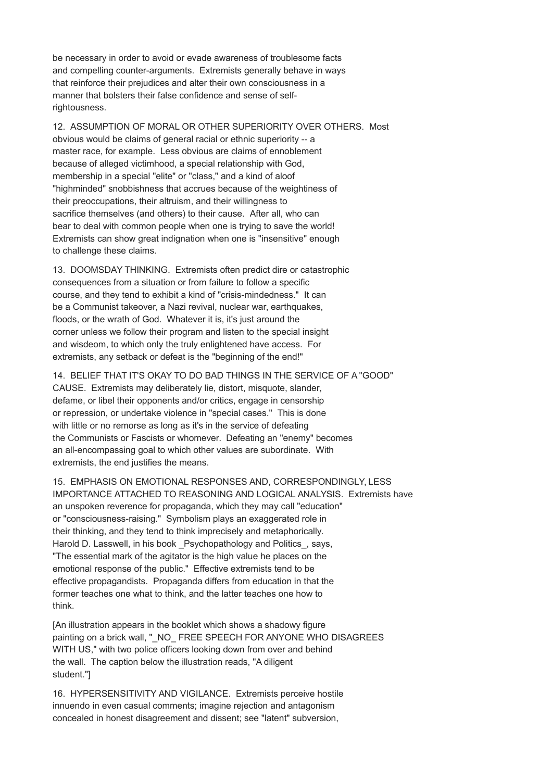be necessary in order to avoid or evade awareness of troublesome facts and compelling counter-arguments. Extremists generally behave in ways that reinforce their prejudices and alter their own consciousness in a manner that bolsters their false confidence and sense of selfrightousness.

12. ASSUMPTION OF MORAL OR OTHER SUPERIORITY OVER OTHERS. Most obvious would be claims of general racial or ethnic superiority -- a master race, for example. Less obvious are claims of ennoblement because of alleged victimhood, a special relationship with God, membership in a special "elite" or "class," and a kind of aloof "highminded" snobbishness that accrues because of the weightiness of their preoccupations, their altruism, and their willingness to sacrifice themselves (and others) to their cause. After all, who can bear to deal with common people when one is trying to save the world! Extremists can show great indignation when one is "insensitive" enough to challenge these claims.

13. DOOMSDAY THINKING. Extremists often predict dire or catastrophic consequences from a situation or from failure to follow a specific course, and they tend to exhibit a kind of "crisis-mindedness." It can be a Communist takeover, a Nazi revival, nuclear war, earthquakes, floods, or the wrath of God. Whatever it is, it's just around the corner unless we follow their program and listen to the special insight and wisdeom, to which only the truly enlightened have access. For extremists, any setback or defeat is the "beginning of the end!"

14. BELIEF THAT IT'S OKAY TO DO BAD THINGS IN THE SERVICE OF A "GOOD" CAUSE. Extremists may deliberately lie, distort, misquote, slander, defame, or libel their opponents and/or critics, engage in censorship or repression, or undertake violence in "special cases." This is done with little or no remorse as long as it's in the service of defeating the Communists or Fascists or whomever. Defeating an "enemy" becomes an all-encompassing goal to which other values are subordinate. With extremists, the end justifies the means.

15. EMPHASIS ON EMOTIONAL RESPONSES AND, CORRESPONDINGLY, LESS IMPORTANCE ATTACHED TO REASONING AND LOGICAL ANALYSIS. Extremists have an unspoken reverence for propaganda, which they may call "education" or "consciousness-raising." Symbolism plays an exaggerated role in their thinking, and they tend to think imprecisely and metaphorically. Harold D. Lasswell, in his book Psychopathology and Politics, says, "The essential mark of the agitator is the high value he places on the emotional response of the public." Effective extremists tend to be effective propagandists. Propaganda differs from education in that the former teaches one what to think, and the latter teaches one how to think.

[An illustration appears in the booklet which shows a shadowy figure painting on a brick wall, "\_NO\_ FREE SPEECH FOR ANYONE WHO DISAGREES WITH US," with two police officers looking down from over and behind the wall. The caption below the illustration reads, "A diligent student."]

16. HYPERSENSITIVITY AND VIGILANCE. Extremists perceive hostile innuendo in even casual comments; imagine rejection and antagonism concealed in honest disagreement and dissent; see "latent" subversion,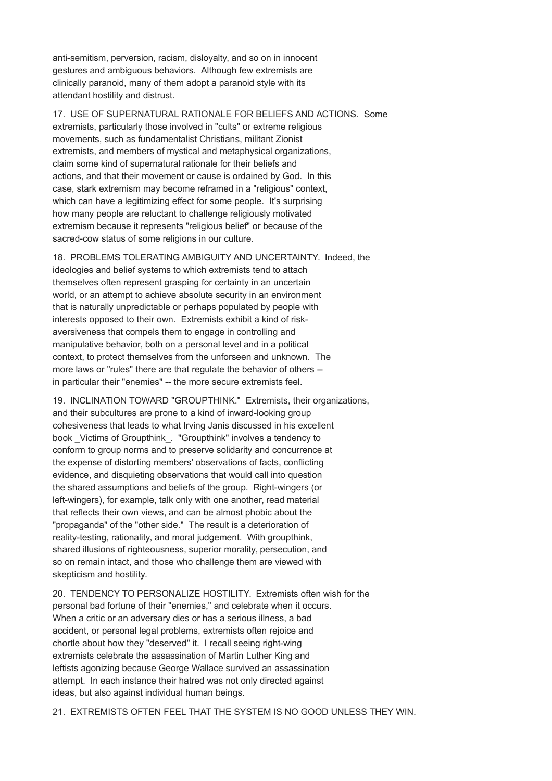anti-semitism, perversion, racism, disloyalty, and so on in innocent gestures and ambiguous behaviors. Although few extremists are clinically paranoid, many of them adopt a paranoid style with its attendant hostility and distrust.

17. USE OF SUPERNATURAL RATIONALE FOR BELIEFS AND ACTIONS. Some extremists, particularly those involved in "cults" or extreme religious movements, such as fundamentalist Christians, militant Zionist extremists, and members of mystical and metaphysical organizations, claim some kind of supernatural rationale for their beliefs and actions, and that their movement or cause is ordained by God. In this case, stark extremism may become reframed in a "religious" context, which can have a legitimizing effect for some people. It's surprising how many people are reluctant to challenge religiously motivated extremism because it represents "religious belief" or because of the sacred-cow status of some religions in our culture.

18. PROBLEMS TOLERATING AMBIGUITY AND UNCERTAINTY. Indeed, the ideologies and belief systems to which extremists tend to attach themselves often represent grasping for certainty in an uncertain world, or an attempt to achieve absolute security in an environment that is naturally unpredictable or perhaps populated by people with interests opposed to their own. Extremists exhibit a kind of riskaversiveness that compels them to engage in controlling and manipulative behavior, both on a personal level and in a political context, to protect themselves from the unforseen and unknown. The more laws or "rules" there are that regulate the behavior of others - in particular their "enemies" -- the more secure extremists feel.

19. INCLINATION TOWARD "GROUPTHINK." Extremists, their organizations, and their subcultures are prone to a kind of inward-looking group cohesiveness that leads to what Irving Janis discussed in his excellent book \_Victims of Groupthink\_. "Groupthink" involves a tendency to conform to group norms and to preserve solidarity and concurrence at the expense of distorting members' observations of facts, conflicting evidence, and disquieting observations that would call into question the shared assumptions and beliefs of the group. Right-wingers (or left-wingers), for example, talk only with one another, read material that reflects their own views, and can be almost phobic about the "propaganda" of the "other side." The result is a deterioration of reality-testing, rationality, and moral judgement. With groupthink, shared illusions of righteousness, superior morality, persecution, and so on remain intact, and those who challenge them are viewed with skepticism and hostility.

20. TENDENCY TO PERSONALIZE HOSTILITY. Extremists often wish for the personal bad fortune of their "enemies," and celebrate when it occurs. When a critic or an adversary dies or has a serious illness, a bad accident, or personal legal problems, extremists often rejoice and chortle about how they "deserved" it. I recall seeing right-wing extremists celebrate the assassination of Martin Luther King and leftists agonizing because George Wallace survived an assassination attempt. In each instance their hatred was not only directed against ideas, but also against individual human beings.

21. EXTREMISTS OFTEN FEEL THAT THE SYSTEM IS NO GOOD UNLESS THEY WIN.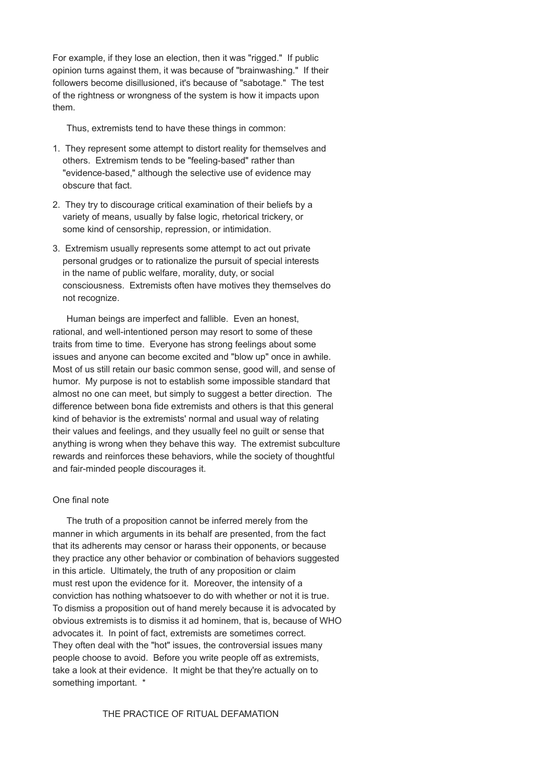For example, if they lose an election, then it was "rigged." If public opinion turns against them, it was because of "brainwashing." If their followers become disillusioned, it's because of "sabotage." The test of the rightness or wrongness of the system is how it impacts upon them.

Thus, extremists tend to have these things in common:

- 1. They represent some attempt to distort reality for themselves and others. Extremism tends to be "feeling-based" rather than "evidence-based," although the selective use of evidence may obscure that fact.
- 2. They try to discourage critical examination of their beliefs by a variety of means, usually by false logic, rhetorical trickery, or some kind of censorship, repression, or intimidation.
- 3. Extremism usually represents some attempt to act out private personal grudges or to rationalize the pursuit of special interests in the name of public welfare, morality, duty, or social consciousness. Extremists often have motives they themselves do not recognize.

Human beings are imperfect and fallible. Even an honest, rational, and well-intentioned person may resort to some of these traits from time to time. Everyone has strong feelings about some issues and anyone can become excited and "blow up" once in awhile. Most of us still retain our basic common sense, good will, and sense of humor. My purpose is not to establish some impossible standard that almost no one can meet, but simply to suggest a better direction. The difference between bona fide extremists and others is that this general kind of behavior is the extremists' normal and usual way of relating their values and feelings, and they usually feel no guilt or sense that anything is wrong when they behave this way. The extremist subculture rewards and reinforces these behaviors, while the society of thoughtful and fair-minded people discourages it.

#### One final note

The truth of a proposition cannot be inferred merely from the manner in which arguments in its behalf are presented, from the fact that its adherents may censor or harass their opponents, or because they practice any other behavior or combination of behaviors suggested in this article. Ultimately, the truth of any proposition or claim must rest upon the evidence for it. Moreover, the intensity of a conviction has nothing whatsoever to do with whether or not it is true. To dismiss a proposition out of hand merely because it is advocated by obvious extremists is to dismiss it ad hominem, that is, because of WHO advocates it. In point of fact, extremists are sometimes correct. They often deal with the "hot" issues, the controversial issues many people choose to avoid. Before you write people off as extremists, take a look at their evidence. It might be that they're actually on to something important. \*

# THE PRACTICE OF RITUAL DEFAMATION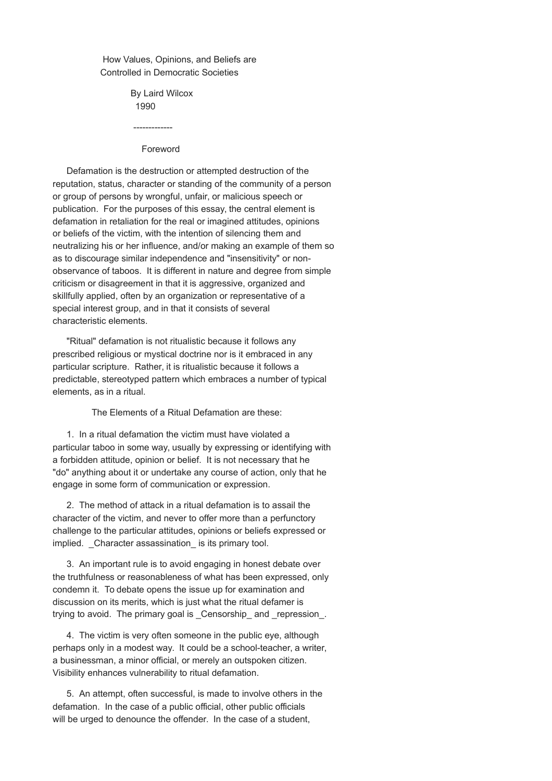How Values, Opinions, and Beliefs are Controlled in Democratic Societies

> By Laird Wilcox 1990

-------------

#### Foreword

Defamation is the destruction or attempted destruction of the reputation, status, character or standing of the community of a person or group of persons by wrongful, unfair, or malicious speech or publication. For the purposes of this essay, the central element is defamation in retaliation for the real or imagined attitudes, opinions or beliefs of the victim, with the intention of silencing them and neutralizing his or her influence, and/or making an example of them so as to discourage similar independence and "insensitivity" or nonobservance of taboos. It is different in nature and degree from simple criticism or disagreement in that it is aggressive, organized and skillfully applied, often by an organization or representative of a special interest group, and in that it consists of several characteristic elements.

"Ritual" defamation is not ritualistic because it follows any prescribed religious or mystical doctrine nor is it embraced in any particular scripture. Rather, it is ritualistic because it follows a predictable, stereotyped pattern which embraces a number of typical elements, as in a ritual.

The Elements of a Ritual Defamation are these:

1. In a ritual defamation the victim must have violated a particular taboo in some way, usually by expressing or identifying with a forbidden attitude, opinion or belief. It is not necessary that he "do" anything about it or undertake any course of action, only that he engage in some form of communication or expression.

2. The method of attack in a ritual defamation is to assail the character of the victim, and never to offer more than a perfunctory challenge to the particular attitudes, opinions or beliefs expressed or implied. Character assassination is its primary tool.

3. An important rule is to avoid engaging in honest debate over the truthfulness or reasonableness of what has been expressed, only condemn it. To debate opens the issue up for examination and discussion on its merits, which is just what the ritual defamer is trying to avoid. The primary goal is Censorship and repression.

4. The victim is very often someone in the public eye, although perhaps only in a modest way. It could be a school-teacher, a writer, a businessman, a minor official, or merely an outspoken citizen. Visibility enhances vulnerability to ritual defamation.

5. An attempt, often successful, is made to involve others in the defamation. In the case of a public official, other public officials will be urged to denounce the offender. In the case of a student,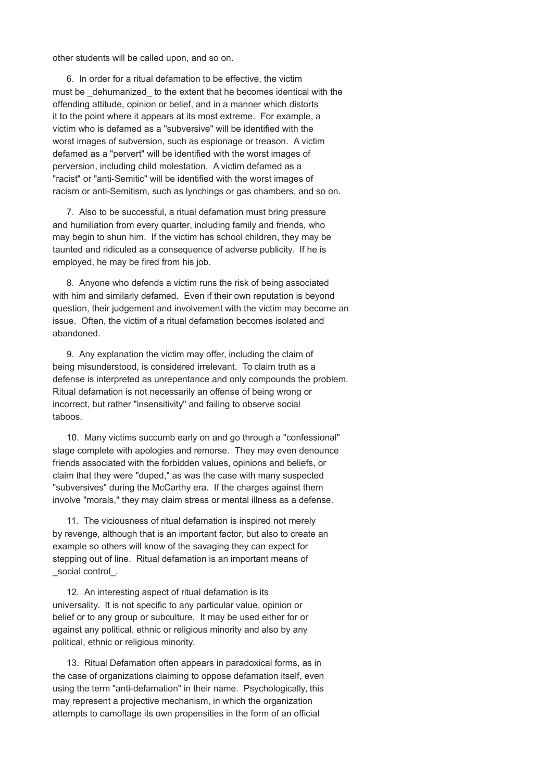other students will be called upon, and so on.

6. In order for a ritual defamation to be effective, the victim must be dehumanized to the extent that he becomes identical with the offending attitude, opinion or belief, and in a manner which distorts it to the point where it appears at its most extreme. For example, a victim who is defamed as a "subversive" will be identified with the worst images of subversion, such as espionage or treason. A victim defamed as a "pervert" will be identified with the worst images of perversion, including child molestation. A victim defamed as a "racist" or "anti-Semitic" will be identified with the worst images of racism or anti-Semitism, such as lynchings or gas chambers, and so on.

7. Also to be successful, a ritual defamation must bring pressure and humiliation from every quarter, including family and friends, who may begin to shun him. If the victim has school children, they may be taunted and ridiculed as a consequence of adverse publicity. If he is employed, he may be fired from his job.

8. Anyone who defends a victim runs the risk of being associated with him and similarly defamed. Even if their own reputation is beyond question, their judgement and involvement with the victim may become an issue. Often, the victim of a ritual defamation becomes isolated and abandoned.

9. Any explanation the victim may offer, including the claim of being misunderstood, is considered irrelevant. To claim truth as a defense is interpreted as unrepentance and only compounds the problem. Ritual defamation is not necessarily an offense of being wrong or incorrect, but rather "insensitivity" and failing to observe social taboos.

10. Many victims succumb early on and go through a "confessional" stage complete with apologies and remorse. They may even denounce friends associated with the forbidden values, opinions and beliefs, or claim that they were "duped," as was the case with many suspected "subversives" during the McCarthy era. If the charges against them involve "morals," they may claim stress or mental illness as a defense.

11. The viciousness of ritual defamation is inspired not merely by revenge, although that is an important factor, but also to create an example so others will know of the savaging they can expect for stepping out of line. Ritual defamation is an important means of social control.

12. An interesting aspect of ritual defamation is its universality. It is not specific to any particular value, opinion or belief or to any group or subculture. It may be used either for or against any political, ethnic or religious minority and also by any political, ethnic or religious minority.

13. Ritual Defamation often appears in paradoxical forms, as in the case of organizations claiming to oppose defamation itself, even using the term "anti-defamation" in their name. Psychologically, this may represent a projective mechanism, in which the organization attempts to camoflage its own propensities in the form of an official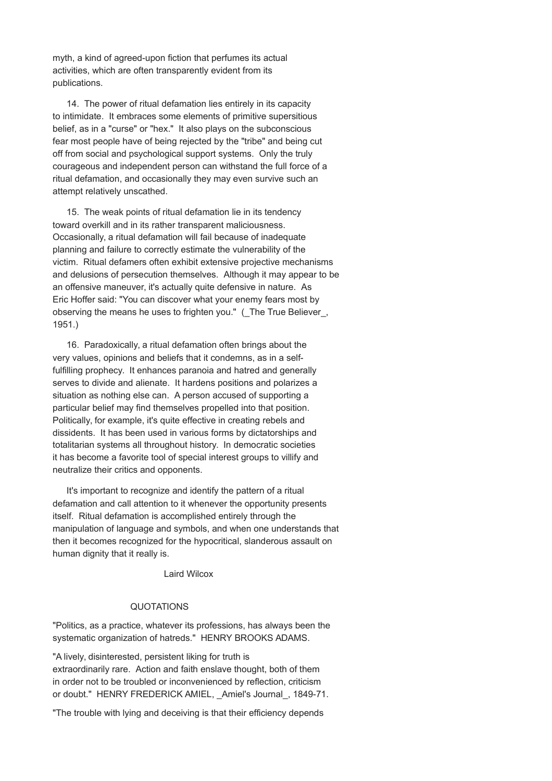myth, a kind of agreed-upon fiction that perfumes its actual activities, which are often transparently evident from its publications.

14. The power of ritual defamation lies entirely in its capacity to intimidate. It embraces some elements of primitive supersitious belief, as in a "curse" or "hex." It also plays on the subconscious fear most people have of being rejected by the "tribe" and being cut off from social and psychological support systems. Only the truly courageous and independent person can withstand the full force of a ritual defamation, and occasionally they may even survive such an attempt relatively unscathed.

15. The weak points of ritual defamation lie in its tendency toward overkill and in its rather transparent maliciousness. Occasionally, a ritual defamation will fail because of inadequate planning and failure to correctly estimate the vulnerability of the victim. Ritual defamers often exhibit extensive projective mechanisms and delusions of persecution themselves. Although it may appear to be an offensive maneuver, it's actually quite defensive in nature. As Eric Hoffer said: "You can discover what your enemy fears most by observing the means he uses to frighten you." (The True Believer, 1951.)

16. Paradoxically, a ritual defamation often brings about the very values, opinions and beliefs that it condemns, as in a selffulfilling prophecy. It enhances paranoia and hatred and generally serves to divide and alienate. It hardens positions and polarizes a situation as nothing else can. A person accused of supporting a particular belief may find themselves propelled into that position. Politically, for example, it's quite effective in creating rebels and dissidents. It has been used in various forms by dictatorships and totalitarian systems all throughout history. In democratic societies it has become a favorite tool of special interest groups to villify and neutralize their critics and opponents.

It's important to recognize and identify the pattern of a ritual defamation and call attention to it whenever the opportunity presents itself. Ritual defamation is accomplished entirely through the manipulation of language and symbols, and when one understands that then it becomes recognized for the hypocritical, slanderous assault on human dignity that it really is.

Laird Wilcox

### **QUOTATIONS**

"Politics, as a practice, whatever its professions, has always been the systematic organization of hatreds." HENRY BROOKS ADAMS.

"A lively, disinterested, persistent liking for truth is extraordinarily rare. Action and faith enslave thought, both of them in order not to be troubled or inconvenienced by reflection, criticism or doubt." HENRY FREDERICK AMIEL, \_Amiel's Journal\_, 1849-71.

"The trouble with lying and deceiving is that their efficiency depends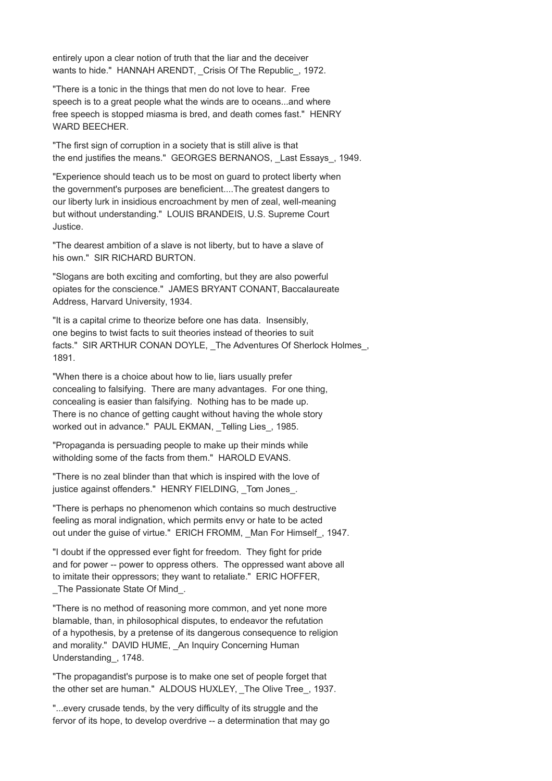entirely upon a clear notion of truth that the liar and the deceiver wants to hide." HANNAH ARENDT, Crisis Of The Republic, 1972.

"There is a tonic in the things that men do not love to hear. Free speech is to a great people what the winds are to oceans...and where free speech is stopped miasma is bred, and death comes fast." HENRY WARD BEECHER.

"The first sign of corruption in a society that is still alive is that the end justifies the means." GEORGES BERNANOS, Last Essays, 1949.

"Experience should teach us to be most on guard to protect liberty when the government's purposes are beneficient....The greatest dangers to our liberty lurk in insidious encroachment by men of zeal, well-meaning but without understanding." LOUIS BRANDEIS, U.S. Supreme Court Justice.

"The dearest ambition of a slave is not liberty, but to have a slave of his own." SIR RICHARD BURTON.

"Slogans are both exciting and comforting, but they are also powerful opiates for the conscience." JAMES BRYANT CONANT, Baccalaureate Address, Harvard University, 1934.

"It is a capital crime to theorize before one has data. Insensibly, one begins to twist facts to suit theories instead of theories to suit facts." SIR ARTHUR CONAN DOYLE, The Adventures Of Sherlock Holmes, 1891.

"When there is a choice about how to lie, liars usually prefer concealing to falsifying. There are many advantages. For one thing, concealing is easier than falsifying. Nothing has to be made up. There is no chance of getting caught without having the whole story worked out in advance." PAUL EKMAN, Telling Lies, 1985.

"Propaganda is persuading people to make up their minds while witholding some of the facts from them." HAROLD EVANS.

"There is no zeal blinder than that which is inspired with the love of justice against offenders." HENRY FIELDING, Tom Jones.

"There is perhaps no phenomenon which contains so much destructive feeling as moral indignation, which permits envy or hate to be acted out under the guise of virtue." ERICH FROMM, Man For Himself, 1947.

"I doubt if the oppressed ever fight for freedom. They fight for pride and for power -- power to oppress others. The oppressed want above all to imitate their oppressors; they want to retaliate." ERIC HOFFER, The Passionate State Of Mind.

"There is no method of reasoning more common, and yet none more blamable, than, in philosophical disputes, to endeavor the refutation of a hypothesis, by a pretense of its dangerous consequence to religion and morality." DAVID HUME, An Inquiry Concerning Human Understanding\_, 1748.

"The propagandist's purpose is to make one set of people forget that the other set are human." ALDOUS HUXLEY, \_The Olive Tree\_, 1937.

"...every crusade tends, by the very difficulty of its struggle and the fervor of its hope, to develop overdrive -- a determination that may go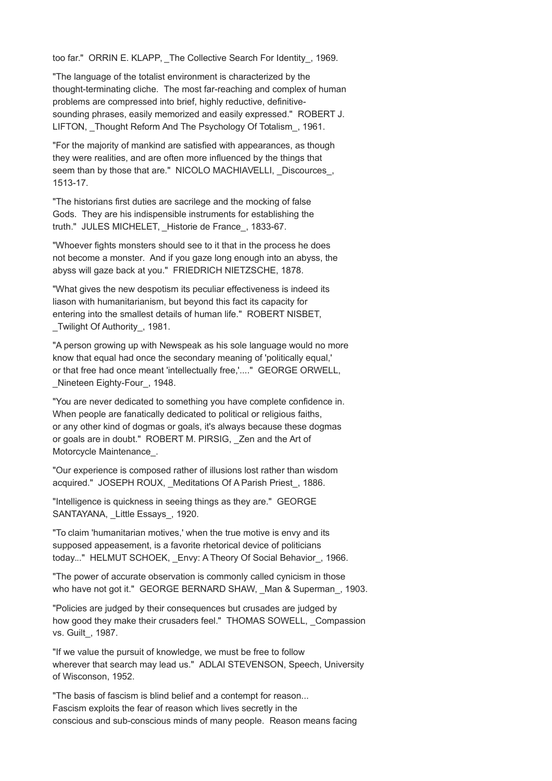too far." ORRIN E. KLAPP, The Collective Search For Identity, 1969.

"The language of the totalist environment is characterized by the thought-terminating cliche. The most far-reaching and complex of human problems are compressed into brief, highly reductive, definitivesounding phrases, easily memorized and easily expressed." ROBERT J. LIFTON, \_Thought Reform And The Psychology Of Totalism\_, 1961.

"For the majority of mankind are satisfied with appearances, as though they were realities, and are often more influenced by the things that seem than by those that are." NICOLO MACHIAVELLI, Discources, 1513-17.

"The historians first duties are sacrilege and the mocking of false Gods. They are his indispensible instruments for establishing the truth." JULES MICHELET, Historie de France, 1833-67.

"Whoever fights monsters should see to it that in the process he does not become a monster. And if you gaze long enough into an abyss, the abyss will gaze back at you." FRIEDRICH NIETZSCHE, 1878.

"What gives the new despotism its peculiar effectiveness is indeed its liason with humanitarianism, but beyond this fact its capacity for entering into the smallest details of human life." ROBERT NISBET, \_Twilight Of Authority\_, 1981.

"A person growing up with Newspeak as his sole language would no more know that equal had once the secondary meaning of 'politically equal,' or that free had once meant 'intellectually free,'...." GEORGE ORWELL, \_Nineteen Eighty-Four\_, 1948.

"You are never dedicated to something you have complete confidence in. When people are fanatically dedicated to political or religious faiths, or any other kind of dogmas or goals, it's always because these dogmas or goals are in doubt." ROBERT M. PIRSIG, Zen and the Art of Motorcycle Maintenance\_.

"Our experience is composed rather of illusions lost rather than wisdom acquired." JOSEPH ROUX, Meditations Of A Parish Priest, 1886.

"Intelligence is quickness in seeing things as they are." GEORGE SANTAYANA, Little Essays, 1920.

"To claim 'humanitarian motives,' when the true motive is envy and its supposed appeasement, is a favorite rhetorical device of politicians today..." HELMUT SCHOEK, \_Envy: A Theory Of Social Behavior\_, 1966.

"The power of accurate observation is commonly called cynicism in those who have not got it." GEORGE BERNARD SHAW, Man & Superman, 1903.

"Policies are judged by their consequences but crusades are judged by how good they make their crusaders feel." THOMAS SOWELL, Compassion vs. Guilt\_, 1987.

"If we value the pursuit of knowledge, we must be free to follow wherever that search may lead us." ADLAI STEVENSON, Speech, University of Wisconson, 1952.

"The basis of fascism is blind belief and a contempt for reason... Fascism exploits the fear of reason which lives secretly in the conscious and sub-conscious minds of many people. Reason means facing